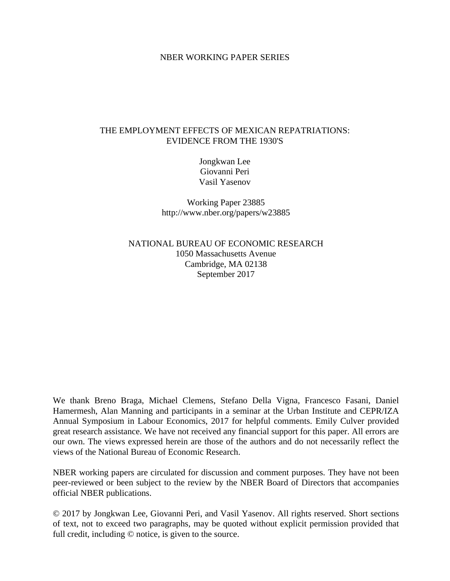### NBER WORKING PAPER SERIES

# THE EMPLOYMENT EFFECTS OF MEXICAN REPATRIATIONS: EVIDENCE FROM THE 1930'S

Jongkwan Lee Giovanni Peri Vasil Yasenov

Working Paper 23885 http://www.nber.org/papers/w23885

NATIONAL BUREAU OF ECONOMIC RESEARCH 1050 Massachusetts Avenue Cambridge, MA 02138 September 2017

We thank Breno Braga, Michael Clemens, Stefano Della Vigna, Francesco Fasani, Daniel Hamermesh, Alan Manning and participants in a seminar at the Urban Institute and CEPR/IZA Annual Symposium in Labour Economics, 2017 for helpful comments. Emily Culver provided great research assistance. We have not received any financial support for this paper. All errors are our own. The views expressed herein are those of the authors and do not necessarily reflect the views of the National Bureau of Economic Research.

NBER working papers are circulated for discussion and comment purposes. They have not been peer-reviewed or been subject to the review by the NBER Board of Directors that accompanies official NBER publications.

© 2017 by Jongkwan Lee, Giovanni Peri, and Vasil Yasenov. All rights reserved. Short sections of text, not to exceed two paragraphs, may be quoted without explicit permission provided that full credit, including  $\odot$  notice, is given to the source.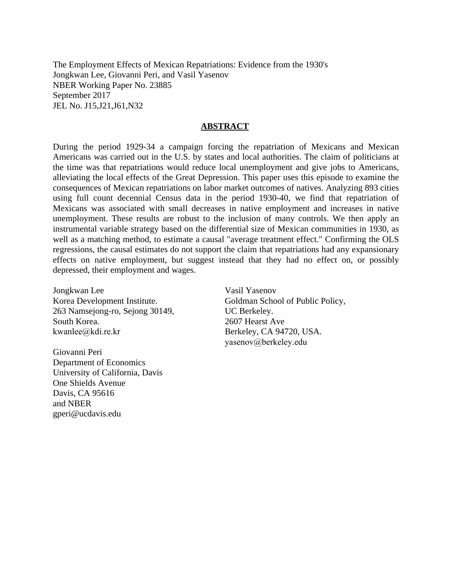The Employment Effects of Mexican Repatriations: Evidence from the 1930's Jongkwan Lee, Giovanni Peri, and Vasil Yasenov NBER Working Paper No. 23885 September 2017 JEL No. J15,J21,J61,N32

### **ABSTRACT**

During the period 1929-34 a campaign forcing the repatriation of Mexicans and Mexican Americans was carried out in the U.S. by states and local authorities. The claim of politicians at the time was that repatriations would reduce local unemployment and give jobs to Americans, alleviating the local effects of the Great Depression. This paper uses this episode to examine the consequences of Mexican repatriations on labor market outcomes of natives. Analyzing 893 cities using full count decennial Census data in the period 1930-40, we find that repatriation of Mexicans was associated with small decreases in native employment and increases in native unemployment. These results are robust to the inclusion of many controls. We then apply an instrumental variable strategy based on the differential size of Mexican communities in 1930, as well as a matching method, to estimate a causal "average treatment effect." Confirming the OLS regressions, the causal estimates do not support the claim that repatriations had any expansionary effects on native employment, but suggest instead that they had no effect on, or possibly depressed, their employment and wages.

Jongkwan Lee Korea Development Institute. 263 Namsejong-ro, Sejong 30149, South Korea. kwanlee@kdi.re.kr

Giovanni Peri Department of Economics University of California, Davis One Shields Avenue Davis, CA 95616 and NBER gperi@ucdavis.edu

Vasil Yasenov Goldman School of Public Policy, UC Berkeley. 2607 Hearst Ave Berkeley, CA 94720, USA. yasenov@berkeley.edu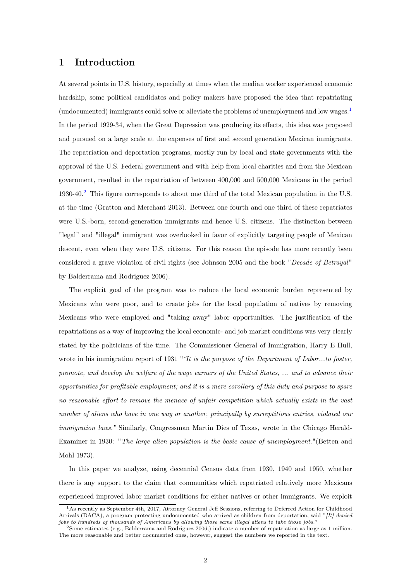# 1 Introduction

At several points in U.S. history, especially at times when the median worker experienced economic hardship, some political candidates and policy makers have proposed the idea that repatriating (undocumented) immigrants could solve or alleviate the problems of unemployment and low wages.[1](#page--1-0) In the period 1929-34, when the Great Depression was producing its effects, this idea was proposed and pursued on a large scale at the expenses of first and second generation Mexican immigrants. The repatriation and deportation programs, mostly run by local and state governments with the approval of the U.S. Federal government and with help from local charities and from the Mexican government, resulted in the repatriation of between 400,000 and 500,000 Mexicans in the period 1930-40.[2](#page--1-0) This figure corresponds to about one third of the total Mexican population in the U.S. at the time (Gratton and Merchant 2013). Between one fourth and one third of these repatriates were U.S.-born, second-generation immigrants and hence U.S. citizens. The distinction between "legal" and "illegal" immigrant was overlooked in favor of explicitly targeting people of Mexican descent, even when they were U.S. citizens. For this reason the episode has more recently been considered a grave violation of civil rights (see Johnson 2005 and the book "Decade of Betrayal" by Balderrama and Rodriguez 2006).

The explicit goal of the program was to reduce the local economic burden represented by Mexicans who were poor, and to create jobs for the local population of natives by removing Mexicans who were employed and "taking away" labor opportunities. The justification of the repatriations as a way of improving the local economic- and job market conditions was very clearly stated by the politicians of the time. The Commissioner General of Immigration, Harry E Hull, wrote in his immigration report of 1931 ""It is the purpose of the Department of Labor...to foster, promote, and develop the welfare of the wage earners of the United States, ... and to advance their opportunities for profitable employment; and it is a mere corollary of this duty and purpose to spare no reasonable effort to remove the menace of unfair competition which actually exists in the vast number of aliens who have in one way or another, principally by surreptitious entries, violated our immigration laws." Similarly, Congressman Martin Dies of Texas, wrote in the Chicago Herald-Examiner in 1930: "The large alien population is the basic cause of unemployment."(Betten and Mohl 1973).

In this paper we analyze, using decennial Census data from 1930, 1940 and 1950, whether there is any support to the claim that communities which repatriated relatively more Mexicans experienced improved labor market conditions for either natives or other immigrants. We exploit

<sup>1</sup>As recently as September 4th, 2017, Attorney General Jeff Sessions, referring to Deferred Action for Childhood Arrivals (DACA), a program protecting undocumented who arrived as children from deportation, said "[It] denied jobs to hundreds of thousands of Americans by allowing those same illegal aliens to take those jobs."

<sup>2</sup>Some estimates (e.g., Balderrama and Rodriguez 2006,) indicate a number of repatriation as large as 1 million. The more reasonable and better documented ones, however, suggest the numbers we reported in the text.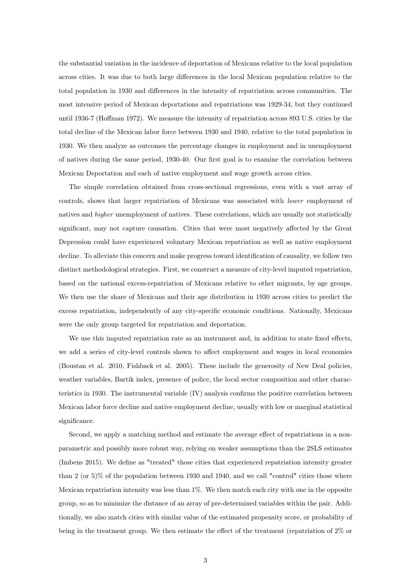the substantial variation in the incidence of deportation of Mexicans relative to the local population across cities. It was due to both large differences in the local Mexican population relative to the total population in 1930 and differences in the intensity of repatriation across communities. The most intensive period of Mexican deportations and repatriations was 1929-34, but they continued until 1936-7 (Hoffman 1972). We measure the intensity of repatriation across 893 U.S. cities by the total decline of the Mexican labor force between 1930 and 1940, relative to the total population in 1930. We then analyze as outcomes the percentage changes in employment and in unemployment of natives during the same period, 1930-40. Our first goal is to examine the correlation between Mexican Deportation and each of native employment and wage growth across cities.

The simple correlation obtained from cross-sectional regressions, even with a vast array of controls, shows that larger repatriation of Mexicans was associated with lower employment of natives and *higher* unemployment of natives. These correlations, which are usually not statistically significant, may not capture causation. Cities that were most negatively affected by the Great Depression could have experienced voluntary Mexican repatriation as well as native employment decline. To alleviate this concern and make progress toward identification of causality, we follow two distinct methodological strategies. First, we construct a measure of city-level imputed repatriation, based on the national excess-repatriation of Mexicans relative to other migrants, by age groups. We then use the share of Mexicans and their age distribution in 1930 across cities to predict the excess repatriation, independently of any city-specific economic conditions. Nationally, Mexicans were the only group targeted for repatriation and deportation.

We use this imputed repatriation rate as an instrument and, in addition to state fixed effects, we add a series of city-level controls shown to affect employment and wages in local economies (Boustan et al. 2010, Fishback et al. 2005). These include the generosity of New Deal policies, weather variables, Bartik index, presence of police, the local sector composition and other characteristics in 1930. The instrumental variable (IV) analysis confirms the positive correlation between Mexican labor force decline and native employment decline, usually with low or marginal statistical significance.

Second, we apply a matching method and estimate the average effect of repatriations in a nonparametric and possibly more robust way, relying on weaker assumptions than the 2SLS estimates (Imbens 2015). We define as "treated" those cities that experienced repatriation intensity greater than 2 (or 5)% of the population between 1930 and 1940, and we call "control" cities those where Mexican repatriation intensity was less than 1%. We then match each city with one in the opposite group, so as to minimize the distance of an array of pre-determined variables within the pair. Additionally, we also match cities with similar value of the estimated propensity score, or probability of being in the treatment group. We then estimate the effect of the treatment (repatriation of 2% or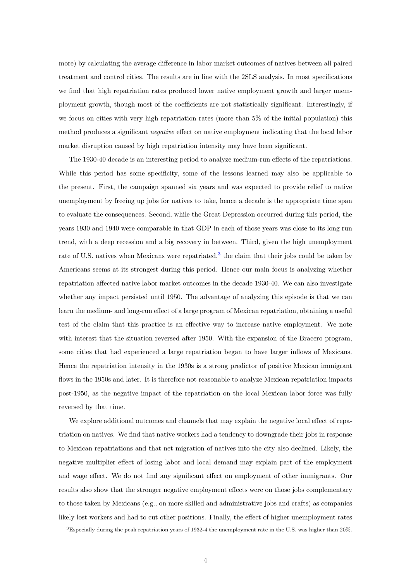more) by calculating the average difference in labor market outcomes of natives between all paired treatment and control cities. The results are in line with the 2SLS analysis. In most specifications we find that high repatriation rates produced lower native employment growth and larger unemployment growth, though most of the coefficients are not statistically significant. Interestingly, if we focus on cities with very high repatriation rates (more than 5% of the initial population) this method produces a significant negative effect on native employment indicating that the local labor market disruption caused by high repatriation intensity may have been significant.

The 1930-40 decade is an interesting period to analyze medium-run effects of the repatriations. While this period has some specificity, some of the lessons learned may also be applicable to the present. First, the campaign spanned six years and was expected to provide relief to native unemployment by freeing up jobs for natives to take, hence a decade is the appropriate time span to evaluate the consequences. Second, while the Great Depression occurred during this period, the years 1930 and 1940 were comparable in that GDP in each of those years was close to its long run trend, with a deep recession and a big recovery in between. Third, given the high unemployment rate of U.S. natives when Mexicans were repatriated,<sup>[3](#page--1-0)</sup> the claim that their jobs could be taken by Americans seems at its strongest during this period. Hence our main focus is analyzing whether repatriation affected native labor market outcomes in the decade 1930-40. We can also investigate whether any impact persisted until 1950. The advantage of analyzing this episode is that we can learn the medium- and long-run effect of a large program of Mexican repatriation, obtaining a useful test of the claim that this practice is an effective way to increase native employment. We note with interest that the situation reversed after 1950. With the expansion of the Bracero program, some cities that had experienced a large repatriation began to have larger inflows of Mexicans. Hence the repatriation intensity in the 1930s is a strong predictor of positive Mexican immigrant flows in the 1950s and later. It is therefore not reasonable to analyze Mexican repatriation impacts post-1950, as the negative impact of the repatriation on the local Mexican labor force was fully reversed by that time.

We explore additional outcomes and channels that may explain the negative local effect of repatriation on natives. We find that native workers had a tendency to downgrade their jobs in response to Mexican repatriations and that net migration of natives into the city also declined. Likely, the negative multiplier effect of losing labor and local demand may explain part of the employment and wage effect. We do not find any significant effect on employment of other immigrants. Our results also show that the stronger negative employment effects were on those jobs complementary to those taken by Mexicans (e.g., on more skilled and administrative jobs and crafts) as companies likely lost workers and had to cut other positions. Finally, the effect of higher unemployment rates

<sup>3</sup>Especially during the peak repatriation years of 1932-4 the unemployment rate in the U.S. was higher than 20%.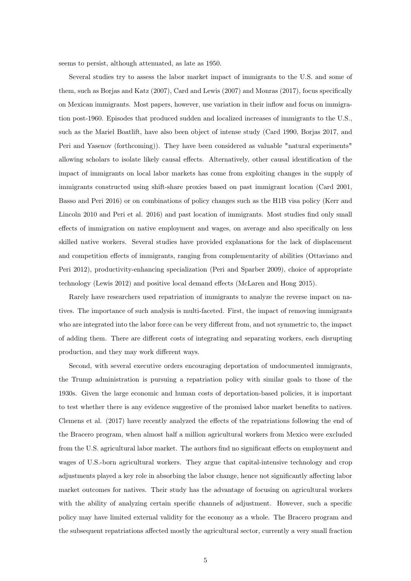seems to persist, although attenuated, as late as 1950.

Several studies try to assess the labor market impact of immigrants to the U.S. and some of them, such as Borjas and Katz (2007), Card and Lewis (2007) and Monras (2017), focus specifically on Mexican immigrants. Most papers, however, use variation in their inflow and focus on immigration post-1960. Episodes that produced sudden and localized increases of immigrants to the U.S., such as the Mariel Boatlift, have also been object of intense study (Card 1990, Borjas 2017, and Peri and Yasenov (forthcoming)). They have been considered as valuable "natural experiments" allowing scholars to isolate likely causal effects. Alternatively, other causal identification of the impact of immigrants on local labor markets has come from exploiting changes in the supply of immigrants constructed using shift-share proxies based on past immigrant location (Card 2001, Basso and Peri 2016) or on combinations of policy changes such as the H1B visa policy (Kerr and Lincoln 2010 and Peri et al. 2016) and past location of immigrants. Most studies find only small effects of immigration on native employment and wages, on average and also specifically on less skilled native workers. Several studies have provided explanations for the lack of displacement and competition effects of immigrants, ranging from complementarity of abilities (Ottaviano and Peri 2012), productivity-enhancing specialization (Peri and Sparber 2009), choice of appropriate technology (Lewis 2012) and positive local demand effects (McLaren and Hong 2015).

Rarely have researchers used repatriation of immigrants to analyze the reverse impact on natives. The importance of such analysis is multi-faceted. First, the impact of removing immigrants who are integrated into the labor force can be very different from, and not symmetric to, the impact of adding them. There are different costs of integrating and separating workers, each disrupting production, and they may work different ways.

Second, with several executive orders encouraging deportation of undocumented immigrants, the Trump administration is pursuing a repatriation policy with similar goals to those of the 1930s. Given the large economic and human costs of deportation-based policies, it is important to test whether there is any evidence suggestive of the promised labor market benefits to natives. Clemens et al. (2017) have recently analyzed the effects of the repatriations following the end of the Bracero program, when almost half a million agricultural workers from Mexico were excluded from the U.S. agricultural labor market. The authors find no significant effects on employment and wages of U.S.-born agricultural workers. They argue that capital-intensive technology and crop adjustments played a key role in absorbing the labor change, hence not significantly affecting labor market outcomes for natives. Their study has the advantage of focusing on agricultural workers with the ability of analyzing certain specific channels of adjustment. However, such a specific policy may have limited external validity for the economy as a whole. The Bracero program and the subsequent repatriations affected mostly the agricultural sector, currently a very small fraction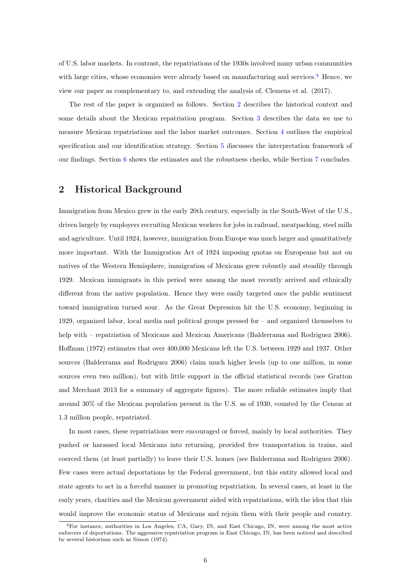of U.S. labor markets. In contrast, the repatriations of the 1930s involved many urban communities with large cities, whose economies were already based on manufacturing and services. $4$  Hence, we view our paper as complementary to, and extending the analysis of, Clemens et al. (2017).

The rest of the paper is organized as follows. Section [2](#page-6-0) describes the historical context and some details about the Mexican repatriation program. Section [3](#page-8-0) describes the data we use to measure Mexican repatriations and the labor market outcomes. Section [4](#page-10-0) outlines the empirical specification and our identification strategy. Section [5](#page-13-0) discusses the interpretation framework of our findings. Section [6](#page-15-0) shows the estimates and the robustness checks, while Section [7](#page-24-0) concludes.

# <span id="page-6-0"></span>2 Historical Background

Immigration from Mexico grew in the early 20th century, especially in the South-West of the U.S., driven largely by employers recruiting Mexican workers for jobs in railroad, meatpacking, steel mills and agriculture. Until 1924, however, immigration from Europe was much larger and quantitatively more important. With the Immigration Act of 1924 imposing quotas on Europeans but not on natives of the Western Hemisphere, immigration of Mexicans grew robustly and steadily through 1929. Mexican immigrants in this period were among the most recently arrived and ethnically different from the native population. Hence they were easily targeted once the public sentiment toward immigration turned sour. As the Great Depression hit the U.S. economy, beginning in 1929, organized labor, local media and political groups pressed for – and organized themselves to help with – repatriation of Mexicans and Mexican Americans (Balderrama and Rodriguez 2006). Hoffman (1972) estimates that over 400,000 Mexicans left the U.S. between 1929 and 1937. Other sources (Balderrama and Rodriguez 2006) claim much higher levels (up to one million, in some sources even two million), but with little support in the official statistical records (see Gratton and Merchant 2013 for a summary of aggregate figures). The more reliable estimates imply that around 30% of the Mexican population present in the U.S. as of 1930, counted by the Census at 1.3 million people, repatriated.

In most cases, these repatriations were encouraged or forced, mainly by local authorities. They pushed or harassed local Mexicans into returning, provided free transportation in trains, and coerced them (at least partially) to leave their U.S. homes (see Balderrama and Rodriguez 2006). Few cases were actual deportations by the Federal government, but this entity allowed local and state agents to act in a forceful manner in promoting repatriation. In several cases, at least in the early years, charities and the Mexican government aided with repatriations, with the idea that this would improve the economic status of Mexicans and rejoin them with their people and country.

<sup>4</sup>For instance, authorities in Los Angeles, CA, Gary, IN, and East Chicago, IN, were among the most active enforcers of deportations. The aggressive repatriation program in East Chicago, IN, has been noticed and described by several historians such as Simon (1974).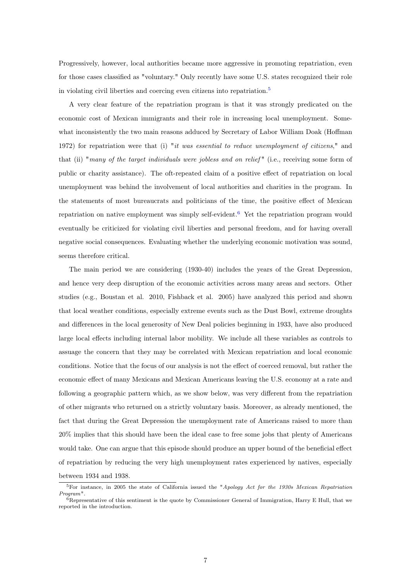Progressively, however, local authorities became more aggressive in promoting repatriation, even for those cases classified as "voluntary." Only recently have some U.S. states recognized their role in violating civil liberties and coercing even citizens into repatriation.<sup>[5](#page--1-0)</sup>

A very clear feature of the repatriation program is that it was strongly predicated on the economic cost of Mexican immigrants and their role in increasing local unemployment. Somewhat inconsistently the two main reasons adduced by Secretary of Labor William Doak (Hoffman 1972) for repatriation were that (i) "it was essential to reduce unemployment of citizens," and that (ii) "many of the target individuals were jobless and on relief" (i.e., receiving some form of public or charity assistance). The oft-repeated claim of a positive effect of repatriation on local unemployment was behind the involvement of local authorities and charities in the program. In the statements of most bureaucrats and politicians of the time, the positive effect of Mexican repatriation on native employment was simply self-evident.[6](#page--1-0) Yet the repatriation program would eventually be criticized for violating civil liberties and personal freedom, and for having overall negative social consequences. Evaluating whether the underlying economic motivation was sound, seems therefore critical.

The main period we are considering (1930-40) includes the years of the Great Depression, and hence very deep disruption of the economic activities across many areas and sectors. Other studies (e.g., Boustan et al. 2010, Fishback et al. 2005) have analyzed this period and shown that local weather conditions, especially extreme events such as the Dust Bowl, extreme droughts and differences in the local generosity of New Deal policies beginning in 1933, have also produced large local effects including internal labor mobility. We include all these variables as controls to assuage the concern that they may be correlated with Mexican repatriation and local economic conditions. Notice that the focus of our analysis is not the effect of coerced removal, but rather the economic effect of many Mexicans and Mexican Americans leaving the U.S. economy at a rate and following a geographic pattern which, as we show below, was very different from the repatriation of other migrants who returned on a strictly voluntary basis. Moreover, as already mentioned, the fact that during the Great Depression the unemployment rate of Americans raised to more than 20% implies that this should have been the ideal case to free some jobs that plenty of Americans would take. One can argue that this episode should produce an upper bound of the beneficial effect of repatriation by reducing the very high unemployment rates experienced by natives, especially between 1934 and 1938.

<sup>&</sup>lt;sup>5</sup>For instance, in 2005 the state of California issued the "Apology Act for the 1930s Mexican Repatriation Program".

 $6R$ epresentative of this sentiment is the quote by Commissioner General of Immigration, Harry E Hull, that we reported in the introduction.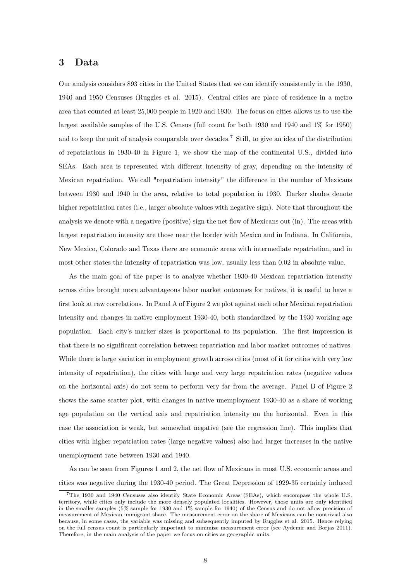## <span id="page-8-0"></span>3 Data

Our analysis considers 893 cities in the United States that we can identify consistently in the 1930, 1940 and 1950 Censuses (Ruggles et al. 2015). Central cities are place of residence in a metro area that counted at least 25,000 people in 1920 and 1930. The focus on cities allows us to use the largest available samples of the U.S. Census (full count for both 1930 and 1940 and 1% for 1950) and to keep the unit of analysis comparable over decades.<sup>[7](#page--1-0)</sup> Still, to give an idea of the distribution of repatriations in 1930-40 in Figure 1, we show the map of the continental U.S., divided into SEAs. Each area is represented with different intensity of gray, depending on the intensity of Mexican repatriation. We call "repatriation intensity" the difference in the number of Mexicans between 1930 and 1940 in the area, relative to total population in 1930. Darker shades denote higher repatriation rates (i.e., larger absolute values with negative sign). Note that throughout the analysis we denote with a negative (positive) sign the net flow of Mexicans out (in). The areas with largest repatriation intensity are those near the border with Mexico and in Indiana. In California, New Mexico, Colorado and Texas there are economic areas with intermediate repatriation, and in most other states the intensity of repatriation was low, usually less than 0.02 in absolute value.

As the main goal of the paper is to analyze whether 1930-40 Mexican repatriation intensity across cities brought more advantageous labor market outcomes for natives, it is useful to have a first look at raw correlations. In Panel A of Figure 2 we plot against each other Mexican repatriation intensity and changes in native employment 1930-40, both standardized by the 1930 working age population. Each city's marker sizes is proportional to its population. The first impression is that there is no significant correlation between repatriation and labor market outcomes of natives. While there is large variation in employment growth across cities (most of it for cities with very low intensity of repatriation), the cities with large and very large repatriation rates (negative values on the horizontal axis) do not seem to perform very far from the average. Panel B of Figure 2 shows the same scatter plot, with changes in native unemployment 1930-40 as a share of working age population on the vertical axis and repatriation intensity on the horizontal. Even in this case the association is weak, but somewhat negative (see the regression line). This implies that cities with higher repatriation rates (large negative values) also had larger increases in the native unemployment rate between 1930 and 1940.

As can be seen from Figures 1 and 2, the net flow of Mexicans in most U.S. economic areas and cities was negative during the 1930-40 period. The Great Depression of 1929-35 certainly induced

<sup>7</sup>The 1930 and 1940 Censuses also identify State Economic Areas (SEAs), which encompass the whole U.S. territory, while cities only include the more densely populated localities. However, those units are only identified in the smaller samples (5% sample for 1930 and 1% sample for 1940) of the Census and do not allow precision of measurement of Mexican immigrant share. The measurement error on the share of Mexicans can be nontrivial also because, in some cases, the variable was missing and subsequently imputed by Ruggles et al. 2015. Hence relying on the full census count is particularly important to minimize measurement error (see Aydemir and Borjas 2011). Therefore, in the main analysis of the paper we focus on cities as geographic units.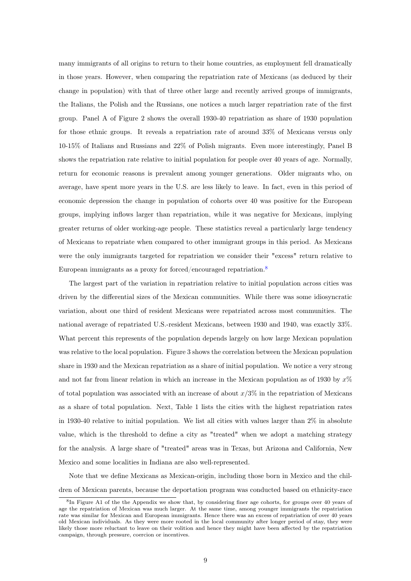many immigrants of all origins to return to their home countries, as employment fell dramatically in those years. However, when comparing the repatriation rate of Mexicans (as deduced by their change in population) with that of three other large and recently arrived groups of immigrants, the Italians, the Polish and the Russians, one notices a much larger repatriation rate of the first group. Panel A of Figure 2 shows the overall 1930-40 repatriation as share of 1930 population for those ethnic groups. It reveals a repatriation rate of around 33% of Mexicans versus only 10-15% of Italians and Russians and 22% of Polish migrants. Even more interestingly, Panel B shows the repatriation rate relative to initial population for people over 40 years of age. Normally, return for economic reasons is prevalent among younger generations. Older migrants who, on average, have spent more years in the U.S. are less likely to leave. In fact, even in this period of economic depression the change in population of cohorts over 40 was positive for the European groups, implying inflows larger than repatriation, while it was negative for Mexicans, implying greater returns of older working-age people. These statistics reveal a particularly large tendency of Mexicans to repatriate when compared to other immigrant groups in this period. As Mexicans were the only immigrants targeted for repatriation we consider their "excess" return relative to European immigrants as a proxy for forced/encouraged repatriation.<sup>[8](#page--1-0)</sup>

The largest part of the variation in repatriation relative to initial population across cities was driven by the differential sizes of the Mexican communities. While there was some idiosyncratic variation, about one third of resident Mexicans were repatriated across most communities. The national average of repatriated U.S.-resident Mexicans, between 1930 and 1940, was exactly 33%. What percent this represents of the population depends largely on how large Mexican population was relative to the local population. Figure 3 shows the correlation between the Mexican population share in 1930 and the Mexican repatriation as a share of initial population. We notice a very strong and not far from linear relation in which an increase in the Mexican population as of 1930 by  $x\%$ of total population was associated with an increase of about  $x/3\%$  in the repatriation of Mexicans as a share of total population. Next, Table 1 lists the cities with the highest repatriation rates in 1930-40 relative to initial population. We list all cities with values larger than 2% in absolute value, which is the threshold to define a city as "treated" when we adopt a matching strategy for the analysis. A large share of "treated" areas was in Texas, but Arizona and California, New Mexico and some localities in Indiana are also well-represented.

Note that we define Mexicans as Mexican-origin, including those born in Mexico and the children of Mexican parents, because the deportation program was conducted based on ethnicity-race

<sup>&</sup>lt;sup>8</sup>In Figure A1 of the the Appendix we show that, by considering finer age cohorts, for groups over 40 years of age the repatriation of Mexican was much larger. At the same time, among younger immigrants the repatriation rate was similar for Mexican and European immigrants. Hence there was an excess of repatriation of over 40 years old Mexican individuals. As they were more rooted in the local community after longer period of stay, they were likely those more reluctant to leave on their volition and hence they might have been affected by the repatriation campaign, through pressure, coercion or incentives.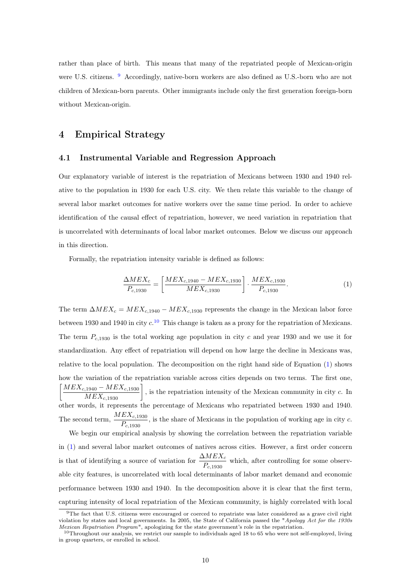rather than place of birth. This means that many of the repatriated people of Mexican-origin were U.S. citizens. <sup>[9](#page--1-0)</sup> Accordingly, native-born workers are also defined as U.S.-born who are not children of Mexican-born parents. Other immigrants include only the first generation foreign-born without Mexican-origin.

# <span id="page-10-0"></span>4 Empirical Strategy

#### <span id="page-10-2"></span>4.1 Instrumental Variable and Regression Approach

Our explanatory variable of interest is the repatriation of Mexicans between 1930 and 1940 relative to the population in 1930 for each U.S. city. We then relate this variable to the change of several labor market outcomes for native workers over the same time period. In order to achieve identification of the causal effect of repatriation, however, we need variation in repatriation that is uncorrelated with determinants of local labor market outcomes. Below we discuss our approach in this direction.

Formally, the repatriation intensity variable is defined as follows:

<span id="page-10-1"></span>
$$
\frac{\Delta MEX_c}{P_{c,1930}} = \left[\frac{MEX_{c,1940} - MEX_{c,1930}}{MEX_{c,1930}}\right] \cdot \frac{MEX_{c,1930}}{P_{c,1930}}.
$$
\n(1)

The term  $\Delta MEX_c = MEX_{c,1940} - MEX_{c,1930}$  represents the change in the Mexican labor force between 1930 and 1940 in city  $c^{10}$  $c^{10}$  $c^{10}$ . This change is taken as a proxy for the repatriation of Mexicans. The term  $P_{c,1930}$  is the total working age population in city c and year 1930 and we use it for standardization. Any effect of repatriation will depend on how large the decline in Mexicans was, relative to the local population. The decomposition on the right hand side of Equation [\(1\)](#page-10-1) shows how the variation of the repatriation variable across cities depends on two terms. The first one,  $\left[\frac{MEX_{c,1940} - MEX_{c,1930}}{MEX_{c,1930}}\right]$ , is the repatriation intensity of the Mexican community in city c. In other words, it represents the percentage of Mexicans who repatriated between 1930 and 1940. The second term,  $\frac{MEX_{c,1930}}{P_{c,1930}}$ , is the share of Mexicans in the population of working age in city c. We begin our empirical analysis by showing the correlation between the repatriation variable in [\(1\)](#page-10-1) and several labor market outcomes of natives across cities. However, a first order concern

is that of identifying a source of variation for  $\frac{\Delta MEX_c}{P_{c,1930}}$  which, after controlling for some observable city features, is uncorrelated with local determinants of labor market demand and economic performance between 1930 and 1940. In the decomposition above it is clear that the first term, capturing intensity of local repatriation of the Mexican community, is highly correlated with local

<sup>&</sup>lt;sup>9</sup>The fact that U.S. citizens were encouraged or coerced to repatriate was later considered as a grave civil right violation by states and local governments. In 2005, the State of California passed the "Apology Act for the 1930s Mexican Repatriation Program", apologizing for the state government's role in the repatriation.

<sup>10</sup>Throughout our analysis, we restrict our sample to individuals aged 18 to 65 who were not self-employed, living in group quarters, or enrolled in school.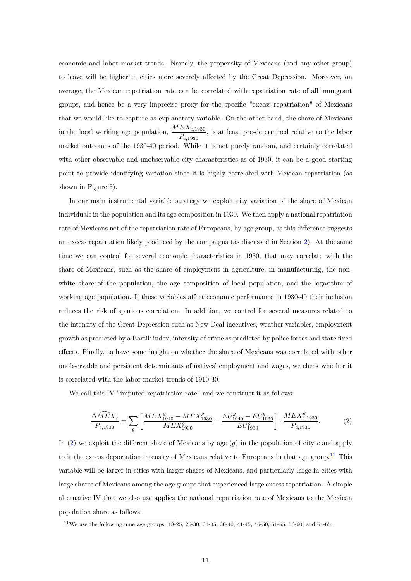economic and labor market trends. Namely, the propensity of Mexicans (and any other group) to leave will be higher in cities more severely affected by the Great Depression. Moreover, on average, the Mexican repatriation rate can be correlated with repatriation rate of all immigrant groups, and hence be a very imprecise proxy for the specific "excess repatriation" of Mexicans that we would like to capture as explanatory variable. On the other hand, the share of Mexicans in the local working age population,  $\frac{MEX_{c,1930}}{P_{c,1930}}$ , is at least pre-determined relative to the labor market outcomes of the 1930-40 period. While it is not purely random, and certainly correlated with other observable and unobservable city-characteristics as of 1930, it can be a good starting point to provide identifying variation since it is highly correlated with Mexican repatriation (as shown in Figure 3).

In our main instrumental variable strategy we exploit city variation of the share of Mexican individuals in the population and its age composition in 1930. We then apply a national repatriation rate of Mexicans net of the repatriation rate of Europeans, by age group, as this difference suggests an excess repatriation likely produced by the campaigns (as discussed in Section [2\)](#page-6-0). At the same time we can control for several economic characteristics in 1930, that may correlate with the share of Mexicans, such as the share of employment in agriculture, in manufacturing, the nonwhite share of the population, the age composition of local population, and the logarithm of working age population. If those variables affect economic performance in 1930-40 their inclusion reduces the risk of spurious correlation. In addition, we control for several measures related to the intensity of the Great Depression such as New Deal incentives, weather variables, employment growth as predicted by a Bartik index, intensity of crime as predicted by police forces and state fixed effects. Finally, to have some insight on whether the share of Mexicans was correlated with other unobservable and persistent determinants of natives' employment and wages, we check whether it is correlated with the labor market trends of 1910-30.

We call this IV "imputed repatriation rate" and we construct it as follows:

<span id="page-11-0"></span>
$$
\frac{\Delta \widehat{MEX}_{c}}{P_{c,1930}} = \sum_{g} \left[ \frac{MEX_{1940}^{g} - MEX_{1930}^{g}}{MEX_{1930}^{g}} - \frac{EU_{1940}^{g} - EU_{1930}^{g}}{EU_{1930}^{g}} \right] \cdot \frac{MEX_{c,1930}^{g}}{P_{c,1930}}.
$$
 (2)

In [\(2\)](#page-11-0) we exploit the different share of Mexicans by age  $(q)$  in the population of city c and apply to it the excess deportation intensity of Mexicans relative to Europeans in that age group.<sup>[11](#page--1-0)</sup> This variable will be larger in cities with larger shares of Mexicans, and particularly large in cities with large shares of Mexicans among the age groups that experienced large excess repatriation. A simple alternative IV that we also use applies the national repatriation rate of Mexicans to the Mexican population share as follows:

 $11$ We use the following nine age groups: 18-25, 26-30, 31-35, 36-40, 41-45, 46-50, 51-55, 56-60, and 61-65.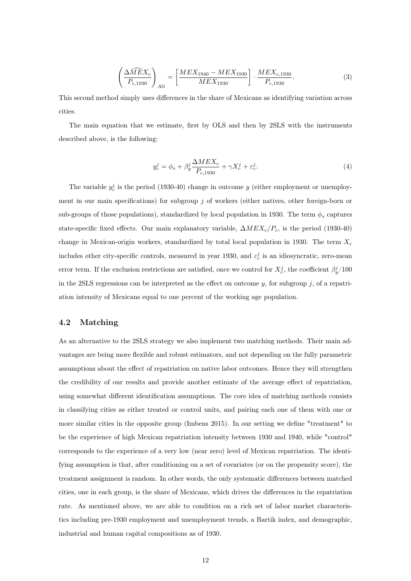<span id="page-12-1"></span>
$$
\left(\frac{\Delta \widehat{MEX}_{c}}{P_{c,1930}}\right)_{Alt} = \left[\frac{MEX_{1940} - MEX_{1930}}{MEX_{1930}}\right] \cdot \frac{MEX_{c,1930}}{P_{c,1930}}.
$$
\n(3)

This second method simply uses differences in the share of Mexicans as identifying variation across cities.

The main equation that we estimate, first by OLS and then by 2SLS with the instruments described above, is the following:

<span id="page-12-0"></span>
$$
y_c^j = \phi_s + \beta_y^j \frac{\Delta MEX_c}{P_{c,1930}} + \gamma X_c^j + \varepsilon_c^j.
$$
 (4)

The variable  $y_c^j$  is the period (1930-40) change in outcome y (either employment or unemployment in our main specifications) for subgroup  $j$  of workers (either natives, other foreign-born or sub-groups of those populations), standardized by local population in 1930. The term  $\phi_s$  captures state-specific fixed effects. Our main explanatory variable,  $\Delta MEX_c/P_c$ , is the period (1930-40) change in Mexican-origin workers, standardized by total local population in 1930. The term  $X_c$ includes other city-specific controls, measured in year 1930, and  $\varepsilon_c^j$  is an idiosyncratic, zero-mean error term. If the exclusion restrictions are satisfied, once we control for  $X_c^j$ , the coefficient  $\beta_y^j/100$ in the 2SLS regressions can be interpreted as the effect on outcome  $y$ , for subgroup  $j$ , of a repatriation intensity of Mexicans equal to one percent of the working age population.

## 4.2 Matching

As an alternative to the 2SLS strategy we also implement two matching methods. Their main advantages are being more flexible and robust estimators, and not depending on the fully parametric assumptions about the effect of repatriation on native labor outcomes. Hence they will strengthen the credibility of our results and provide another estimate of the average effect of repatriation, using somewhat different identification assumptions. The core idea of matching methods consists in classifying cities as either treated or control units, and pairing each one of them with one or more similar cities in the opposite group (Imbens 2015). In our setting we define "treatment" to be the experience of high Mexican repatriation intensity between 1930 and 1940, while "control" corresponds to the experience of a very low (near zero) level of Mexican repatriation. The identifying assumption is that, after conditioning on a set of covariates (or on the propensity score), the treatment assignment is random. In other words, the only systematic differences between matched cities, one in each group, is the share of Mexicans, which drives the differences in the repatriation rate. As mentioned above, we are able to condition on a rich set of labor market characteristics including pre-1930 employment and unemployment trends, a Bartik index, and demographic, industrial and human capital compositions as of 1930.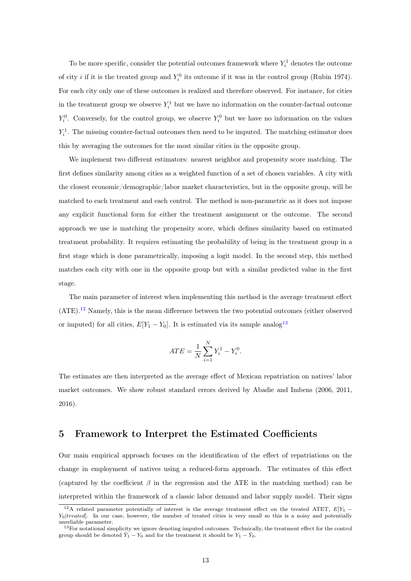To be more specific, consider the potential outcomes framework where  $Y_i^1$  denotes the outcome of city *i* if it is the treated group and  $Y_i^0$  its outcome if it was in the control group (Rubin 1974). For each city only one of these outcomes is realized and therefore observed. For instance, for cities in the treatment group we observe  $Y_i^1$  but we have no information on the counter-factual outcome  $Y_i^0$ . Conversely, for the control group, we observe  $Y_i^0$  but we have no information on the values  $Y_i^1$ . The missing counter-factual outcomes then need to be imputed. The matching estimator does this by averaging the outcomes for the most similar cities in the opposite group.

We implement two different estimators: nearest neighbor and propensity score matching. The first defines similarity among cities as a weighted function of a set of chosen variables. A city with the closest economic/demographic/labor market characteristics, but in the opposite group, will be matched to each treatment and each control. The method is non-parametric as it does not impose any explicit functional form for either the treatment assignment or the outcome. The second approach we use is matching the propensity score, which defines similarity based on estimated treatment probability. It requires estimating the probability of being in the treatment group in a first stage which is done parametrically, imposing a logit model. In the second step, this method matches each city with one in the opposite group but with a similar predicted value in the first stage.

The main parameter of interest when implementing this method is the average treatment effect (ATE).[12](#page--1-0) Namely, this is the mean difference between the two potential outcomes (either observed or imputed) for all cities,  $E[Y_1 - Y_0]$ . It is estimated via its sample analog<sup>[13](#page--1-0)</sup>

$$
ATE = \frac{1}{N} \sum_{i=1}^{N} Y_i^1 - Y_i^0.
$$

The estimates are then interpreted as the average effect of Mexican repatriation on natives' labor market outcomes. We show robust standard errors derived by Abadie and Imbens (2006, 2011, 2016).

# <span id="page-13-0"></span>5 Framework to Interpret the Estimated Coefficients

Our main empirical approach focuses on the identification of the effect of repatriations on the change in employment of natives using a reduced-form approach. The estimates of this effect (captured by the coefficient  $\beta$  in the regression and the ATE in the matching method) can be interpreted within the framework of a classic labor demand and labor supply model. Their signs

<sup>&</sup>lt;sup>12</sup>A related parameter potentially of interest is the average treatment effect on the treated ATET,  $E[Y_1 Y_0|treated|$ . In our case, however, the number of treated cities is very small so this is a noisy and potentially unreliable parameter.

<sup>&</sup>lt;sup>13</sup>For notational simplicity we ignore denoting imputed outcomes. Technically, the treatment effect for the control group should be denoted  $\hat{Y}_1 - Y_0$  and for the treatment it should be  $Y_1 - \hat{Y}_0$ .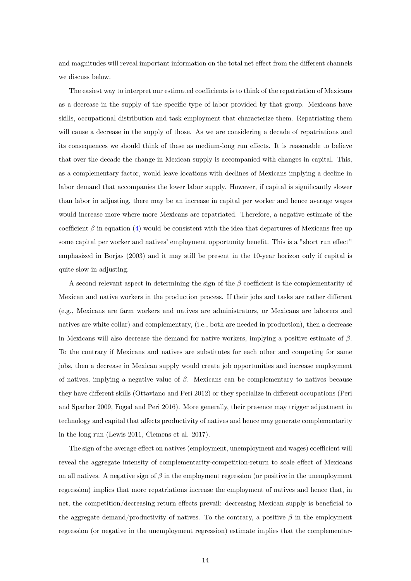and magnitudes will reveal important information on the total net effect from the different channels we discuss below.

The easiest way to interpret our estimated coefficients is to think of the repatriation of Mexicans as a decrease in the supply of the specific type of labor provided by that group. Mexicans have skills, occupational distribution and task employment that characterize them. Repatriating them will cause a decrease in the supply of those. As we are considering a decade of repatriations and its consequences we should think of these as medium-long run effects. It is reasonable to believe that over the decade the change in Mexican supply is accompanied with changes in capital. This, as a complementary factor, would leave locations with declines of Mexicans implying a decline in labor demand that accompanies the lower labor supply. However, if capital is significantly slower than labor in adjusting, there may be an increase in capital per worker and hence average wages would increase more where more Mexicans are repatriated. Therefore, a negative estimate of the coefficient  $\beta$  in equation [\(4\)](#page-12-0) would be consistent with the idea that departures of Mexicans free up some capital per worker and natives' employment opportunity benefit. This is a "short run effect" emphasized in Borjas (2003) and it may still be present in the 10-year horizon only if capital is quite slow in adjusting.

A second relevant aspect in determining the sign of the  $\beta$  coefficient is the complementarity of Mexican and native workers in the production process. If their jobs and tasks are rather different (e.g., Mexicans are farm workers and natives are administrators, or Mexicans are laborers and natives are white collar) and complementary, (i.e., both are needed in production), then a decrease in Mexicans will also decrease the demand for native workers, implying a positive estimate of  $\beta$ . To the contrary if Mexicans and natives are substitutes for each other and competing for same jobs, then a decrease in Mexican supply would create job opportunities and increase employment of natives, implying a negative value of  $\beta$ . Mexicans can be complementary to natives because they have different skills (Ottaviano and Peri 2012) or they specialize in different occupations (Peri and Sparber 2009, Foged and Peri 2016). More generally, their presence may trigger adjustment in technology and capital that affects productivity of natives and hence may generate complementarity in the long run (Lewis 2011, Clemens et al. 2017).

The sign of the average effect on natives (employment, unemployment and wages) coefficient will reveal the aggregate intensity of complementarity-competition-return to scale effect of Mexicans on all natives. A negative sign of  $\beta$  in the employment regression (or positive in the unemployment regression) implies that more repatriations increase the employment of natives and hence that, in net, the competition/decreasing return effects prevail: decreasing Mexican supply is beneficial to the aggregate demand/productivity of natives. To the contrary, a positive  $\beta$  in the employment regression (or negative in the unemployment regression) estimate implies that the complementar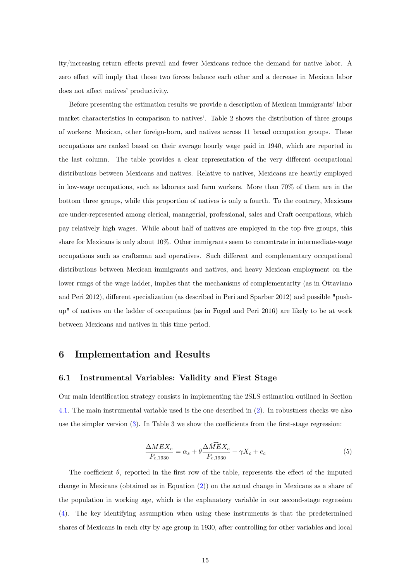ity/increasing return effects prevail and fewer Mexicans reduce the demand for native labor. A zero effect will imply that those two forces balance each other and a decrease in Mexican labor does not affect natives' productivity.

Before presenting the estimation results we provide a description of Mexican immigrants' labor market characteristics in comparison to natives'. Table 2 shows the distribution of three groups of workers: Mexican, other foreign-born, and natives across 11 broad occupation groups. These occupations are ranked based on their average hourly wage paid in 1940, which are reported in the last column. The table provides a clear representation of the very different occupational distributions between Mexicans and natives. Relative to natives, Mexicans are heavily employed in low-wage occupations, such as laborers and farm workers. More than 70% of them are in the bottom three groups, while this proportion of natives is only a fourth. To the contrary, Mexicans are under-represented among clerical, managerial, professional, sales and Craft occupations, which pay relatively high wages. While about half of natives are employed in the top five groups, this share for Mexicans is only about 10%. Other immigrants seem to concentrate in intermediate-wage occupations such as craftsman and operatives. Such different and complementary occupational distributions between Mexican immigrants and natives, and heavy Mexican employment on the lower rungs of the wage ladder, implies that the mechanisms of complementarity (as in Ottaviano and Peri 2012), different specialization (as described in Peri and Sparber 2012) and possible "pushup" of natives on the ladder of occupations (as in Foged and Peri 2016) are likely to be at work between Mexicans and natives in this time period.

## <span id="page-15-0"></span>6 Implementation and Results

#### 6.1 Instrumental Variables: Validity and First Stage

Our main identification strategy consists in implementing the 2SLS estimation outlined in Section [4.1.](#page-10-2) The main instrumental variable used is the one described in [\(2\)](#page-11-0). In robustness checks we also use the simpler version [\(3\)](#page-12-1). In Table 3 we show the coefficients from the first-stage regression:

$$
\frac{\Delta MEX_c}{P_{c,1930}} = \alpha_s + \theta \frac{\Delta \widehat{MEX_c}}{P_{c,1930}} + \gamma X_c + e_c \tag{5}
$$

The coefficient  $\theta$ , reported in the first row of the table, represents the effect of the imputed change in Mexicans (obtained as in Equation [\(2\)](#page-11-0)) on the actual change in Mexicans as a share of the population in working age, which is the explanatory variable in our second-stage regression [\(4\)](#page-12-0). The key identifying assumption when using these instruments is that the predetermined shares of Mexicans in each city by age group in 1930, after controlling for other variables and local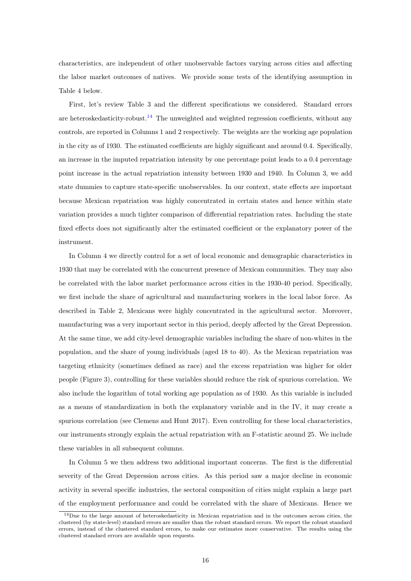characteristics, are independent of other unobservable factors varying across cities and affecting the labor market outcomes of natives. We provide some tests of the identifying assumption in Table 4 below.

First, let's review Table 3 and the different specifications we considered. Standard errors are heteroskedasticity-robust.<sup>[14](#page--1-0)</sup> The unweighted and weighted regression coefficients, without any controls, are reported in Columns 1 and 2 respectively. The weights are the working age population in the city as of 1930. The estimated coefficients are highly significant and around 0.4. Specifically, an increase in the imputed repatriation intensity by one percentage point leads to a 0.4 percentage point increase in the actual repatriation intensity between 1930 and 1940. In Column 3, we add state dummies to capture state-specific unobservables. In our context, state effects are important because Mexican repatriation was highly concentrated in certain states and hence within state variation provides a much tighter comparison of differential repatriation rates. Including the state fixed effects does not significantly alter the estimated coefficient or the explanatory power of the instrument.

In Column 4 we directly control for a set of local economic and demographic characteristics in 1930 that may be correlated with the concurrent presence of Mexican communities. They may also be correlated with the labor market performance across cities in the 1930-40 period. Specifically, we first include the share of agricultural and manufacturing workers in the local labor force. As described in Table 2, Mexicans were highly concentrated in the agricultural sector. Moreover, manufacturing was a very important sector in this period, deeply affected by the Great Depression. At the same time, we add city-level demographic variables including the share of non-whites in the population, and the share of young individuals (aged 18 to 40). As the Mexican repatriation was targeting ethnicity (sometimes defined as race) and the excess repatriation was higher for older people (Figure 3), controlling for these variables should reduce the risk of spurious correlation. We also include the logarithm of total working age population as of 1930. As this variable is included as a means of standardization in both the explanatory variable and in the IV, it may create a spurious correlation (see Clemens and Hunt 2017). Even controlling for these local characteristics, our instruments strongly explain the actual repatriation with an F-statistic around 25. We include these variables in all subsequent columns.

In Column 5 we then address two additional important concerns. The first is the differential severity of the Great Depression across cities. As this period saw a major decline in economic activity in several specific industries, the sectoral composition of cities might explain a large part of the employment performance and could be correlated with the share of Mexicans. Hence we

<sup>&</sup>lt;sup>14</sup>Due to the large amount of heteroskedasticity in Mexican repatriation and in the outcomes across cities, the clustered (by state-level) standard errors are smaller than the robust standard errors. We report the robust standard errors, instead of the clustered standard errors, to make our estimates more conservative. The results using the clustered standard errors are available upon requests.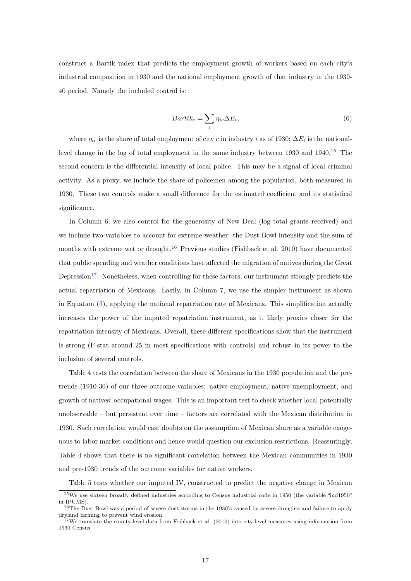construct a Bartik index that predicts the employment growth of workers based on each city's industrial composition in 1930 and the national employment growth of that industry in the 1930- 40 period. Namely the included control is:

$$
Bartik_c = \sum_i \eta_{ic} \Delta E_i,\tag{6}
$$

where  $\eta_{ic}$  is the share of total employment of city c in industry i as of 1930;  $\Delta E_i$  is the nationallevel change in the log of total employment in the same industry between  $1930$  and  $1940$ .<sup>[15](#page--1-0)</sup> The second concern is the differential intensity of local police. This may be a signal of local criminal activity. As a proxy, we include the share of policemen among the population, both measured in 1930. These two controls make a small difference for the estimated coefficient and its statistical significance.

In Column 6, we also control for the generosity of New Deal (log total grants received) and we include two variables to account for extreme weather: the Dust Bowl intensity and the sum of months with extreme wet or drought.<sup>[16](#page--1-0)</sup> Previous studies (Fishback et al. 2010) have documented that public spending and weather conditions have affected the migration of natives during the Great Depression<sup>[17](#page--1-0)</sup>. Nonetheless, when controlling for these factors, our instrument strongly predicts the actual repatriation of Mexicans. Lastly, in Column 7, we use the simpler instrument as shown in Equation [\(3\)](#page-12-1), applying the national repatriation rate of Mexicans. This simplification actually increases the power of the imputed repatriation instrument, as it likely proxies closer for the repatriation intensity of Mexicans. Overall, these different specifications show that the instrument is strong (F-stat around 25 in most specifications with controls) and robust in its power to the inclusion of several controls.

Table 4 tests the correlation between the share of Mexicans in the 1930 population and the pretrends (1910-30) of our three outcome variables: native employment, native unemployment, and growth of natives' occupational wages. This is an important test to check whether local potentially unobservable – but persistent over time – factors are correlated with the Mexican distribution in 1930. Such correlation would cast doubts on the assumption of Mexican share as a variable exogenous to labor market conditions and hence would question our exclusion restrictions. Reassuringly, Table 4 shows that there is no significant correlation between the Mexican communities in 1930 and pre-1930 trends of the outcome variables for native workers.

Table 5 tests whether our imputed IV, constructed to predict the negative change in Mexican

<sup>&</sup>lt;sup>15</sup>We use sixteen broadly defined industries according to Census industrial code in 1950 (the variable "ind1950" in IPUMS).

 $^{16}$ The Dust Bowl was a period of severe dust storms in the 1930's caused by severe droughts and failure to apply dryland farming to prevent wind erosion.

<sup>&</sup>lt;sup>17</sup>We translate the county-level data from Fishback et al. (2010) into city-level measures using information from 1930 Census.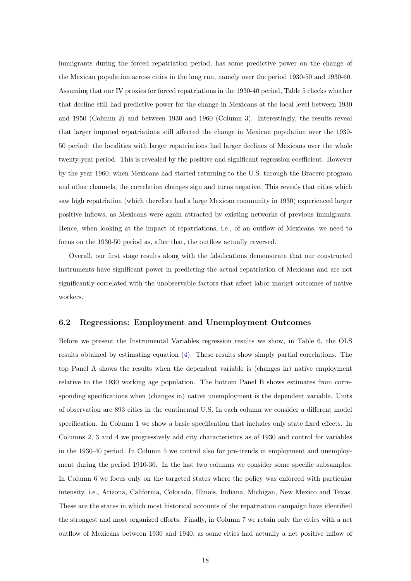immigrants during the forced repatriation period, has some predictive power on the change of the Mexican population across cities in the long run, namely over the period 1930-50 and 1930-60. Assuming that our IV proxies for forced repatriations in the 1930-40 period, Table 5 checks whether that decline still had predictive power for the change in Mexicans at the local level between 1930 and 1950 (Column 2) and between 1930 and 1960 (Column 3). Interestingly, the results reveal that larger imputed repatriations still affected the change in Mexican population over the 1930- 50 period: the localities with larger repatriations had larger declines of Mexicans over the whole twenty-year period. This is revealed by the positive and significant regression coefficient. However by the year 1960, when Mexicans had started returning to the U.S. through the Bracero program and other channels, the correlation changes sign and turns negative. This reveals that cities which saw high repatriation (which therefore had a large Mexican community in 1930) experienced larger positive inflows, as Mexicans were again attracted by existing networks of previous immigrants. Hence, when looking at the impact of repatriations, i.e., of an outflow of Mexicans, we need to focus on the 1930-50 period as, after that, the outflow actually reversed.

Overall, our first stage results along with the falsifications demonstrate that our constructed instruments have significant power in predicting the actual repatriation of Mexicans and are not significantly correlated with the unobservable factors that affect labor market outcomes of native workers.

#### 6.2 Regressions: Employment and Unemployment Outcomes

Before we present the Instrumental Variables regression results we show, in Table 6, the OLS results obtained by estimating equation [\(4\)](#page-12-0). These results show simply partial correlations. The top Panel A shows the results when the dependent variable is (changes in) native employment relative to the 1930 working age population. The bottom Panel B shows estimates from corresponding specifications when (changes in) native unemployment is the dependent variable. Units of observation are 893 cities in the continental U.S. In each column we consider a different model specification. In Column 1 we show a basic specification that includes only state fixed effects. In Columns 2, 3 and 4 we progressively add city characteristics as of 1930 and control for variables in the 1930-40 period. In Column 5 we control also for pre-trends in employment and unemployment during the period 1910-30. In the last two columns we consider some specific subsamples. In Column 6 we focus only on the targeted states where the policy was enforced with particular intensity, i.e., Arizona, California, Colorado, Illinois, Indiana, Michigan, New Mexico and Texas. These are the states in which most historical accounts of the repatriation campaign have identified the strongest and most organized efforts. Finally, in Column 7 we retain only the cities with a net outflow of Mexicans between 1930 and 1940, as some cities had actually a net positive inflow of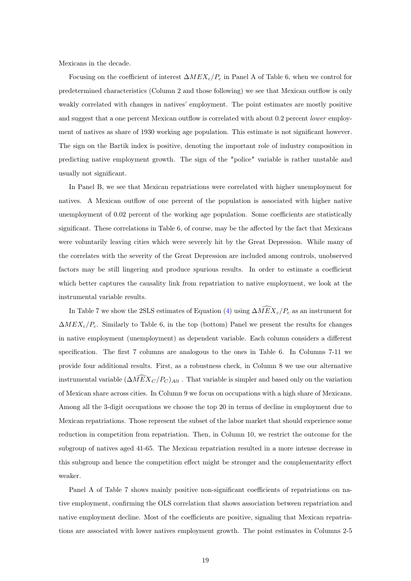Mexicans in the decade.

Focusing on the coefficient of interest  $\Delta MEX_c/P_c$  in Panel A of Table 6, when we control for predetermined characteristics (Column 2 and those following) we see that Mexican outflow is only weakly correlated with changes in natives' employment. The point estimates are mostly positive and suggest that a one percent Mexican outflow is correlated with about 0.2 percent *lower* employment of natives as share of 1930 working age population. This estimate is not significant however. The sign on the Bartik index is positive, denoting the important role of industry composition in predicting native employment growth. The sign of the "police" variable is rather unstable and usually not significant.

In Panel B, we see that Mexican repatriations were correlated with higher unemployment for natives. A Mexican outflow of one percent of the population is associated with higher native unemployment of 0.02 percent of the working age population. Some coefficients are statistically significant. These correlations in Table 6, of course, may be the affected by the fact that Mexicans were voluntarily leaving cities which were severely hit by the Great Depression. While many of the correlates with the severity of the Great Depression are included among controls, unobserved factors may be still lingering and produce spurious results. In order to estimate a coefficient which better captures the causality link from repatriation to native employment, we look at the instrumental variable results.

In Table 7 we show the 2SLS estimates of Equation [\(4\)](#page-12-0) using  $\Delta MEX_c/P_c$  as an instrument for  $\Delta MEX_c/P_c$ . Similarly to Table 6, in the top (bottom) Panel we present the results for changes in native employment (unemployment) as dependent variable. Each column considers a different specification. The first 7 columns are analogous to the ones in Table 6. In Columns 7-11 we provide four additional results. First, as a robustness check, in Column 8 we use our alternative instrumental variable  $(\Delta \tilde{M} \tilde{E} X_C / P_C)_{Alt}$ . That variable is simpler and based only on the variation of Mexican share across cities. In Column 9 we focus on occupations with a high share of Mexicans. Among all the 3-digit occupations we choose the top 20 in terms of decline in employment due to Mexican repatriations. Those represent the subset of the labor market that should experience some reduction in competition from repatriation. Then, in Column 10, we restrict the outcome for the subgroup of natives aged 41-65. The Mexican repatriation resulted in a more intense decrease in this subgroup and hence the competition effect might be stronger and the complementarity effect weaker.

Panel A of Table 7 shows mainly positive non-significant coefficients of repatriations on native employment, confirming the OLS correlation that shows association between repatriation and native employment decline. Most of the coefficients are positive, signaling that Mexican repatriations are associated with lower natives employment growth. The point estimates in Columns 2-5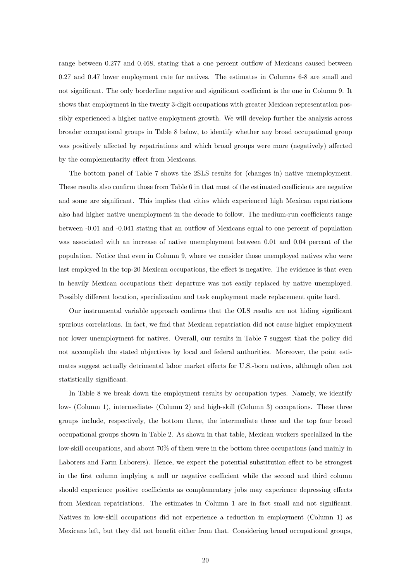range between 0.277 and 0.468, stating that a one percent outflow of Mexicans caused between 0.27 and 0.47 lower employment rate for natives. The estimates in Columns 6-8 are small and not significant. The only borderline negative and significant coefficient is the one in Column 9. It shows that employment in the twenty 3-digit occupations with greater Mexican representation possibly experienced a higher native employment growth. We will develop further the analysis across broader occupational groups in Table 8 below, to identify whether any broad occupational group was positively affected by repatriations and which broad groups were more (negatively) affected by the complementarity effect from Mexicans.

The bottom panel of Table 7 shows the 2SLS results for (changes in) native unemployment. These results also confirm those from Table 6 in that most of the estimated coefficients are negative and some are significant. This implies that cities which experienced high Mexican repatriations also had higher native unemployment in the decade to follow. The medium-run coefficients range between -0.01 and -0.041 stating that an outflow of Mexicans equal to one percent of population was associated with an increase of native unemployment between 0.01 and 0.04 percent of the population. Notice that even in Column 9, where we consider those unemployed natives who were last employed in the top-20 Mexican occupations, the effect is negative. The evidence is that even in heavily Mexican occupations their departure was not easily replaced by native unemployed. Possibly different location, specialization and task employment made replacement quite hard.

Our instrumental variable approach confirms that the OLS results are not hiding significant spurious correlations. In fact, we find that Mexican repatriation did not cause higher employment nor lower unemployment for natives. Overall, our results in Table 7 suggest that the policy did not accomplish the stated objectives by local and federal authorities. Moreover, the point estimates suggest actually detrimental labor market effects for U.S.-born natives, although often not statistically significant.

In Table 8 we break down the employment results by occupation types. Namely, we identify low- (Column 1), intermediate- (Column 2) and high-skill (Column 3) occupations. These three groups include, respectively, the bottom three, the intermediate three and the top four broad occupational groups shown in Table 2. As shown in that table, Mexican workers specialized in the low-skill occupations, and about 70% of them were in the bottom three occupations (and mainly in Laborers and Farm Laborers). Hence, we expect the potential substitution effect to be strongest in the first column implying a null or negative coefficient while the second and third column should experience positive coefficients as complementary jobs may experience depressing effects from Mexican repatriations. The estimates in Column 1 are in fact small and not significant. Natives in low-skill occupations did not experience a reduction in employment (Column 1) as Mexicans left, but they did not benefit either from that. Considering broad occupational groups,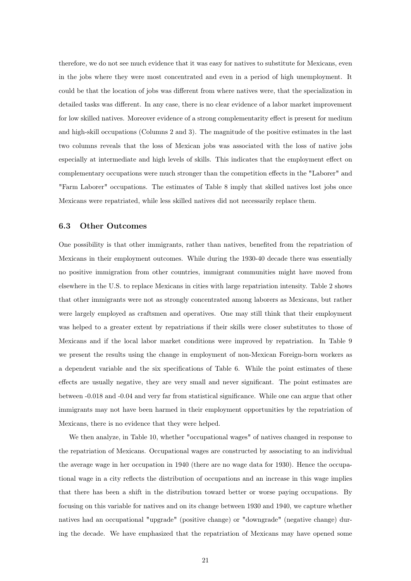therefore, we do not see much evidence that it was easy for natives to substitute for Mexicans, even in the jobs where they were most concentrated and even in a period of high unemployment. It could be that the location of jobs was different from where natives were, that the specialization in detailed tasks was different. In any case, there is no clear evidence of a labor market improvement for low skilled natives. Moreover evidence of a strong complementarity effect is present for medium and high-skill occupations (Columns 2 and 3). The magnitude of the positive estimates in the last two columns reveals that the loss of Mexican jobs was associated with the loss of native jobs especially at intermediate and high levels of skills. This indicates that the employment effect on complementary occupations were much stronger than the competition effects in the "Laborer" and "Farm Laborer" occupations. The estimates of Table 8 imply that skilled natives lost jobs once Mexicans were repatriated, while less skilled natives did not necessarily replace them.

#### 6.3 Other Outcomes

One possibility is that other immigrants, rather than natives, benefited from the repatriation of Mexicans in their employment outcomes. While during the 1930-40 decade there was essentially no positive immigration from other countries, immigrant communities might have moved from elsewhere in the U.S. to replace Mexicans in cities with large repatriation intensity. Table 2 shows that other immigrants were not as strongly concentrated among laborers as Mexicans, but rather were largely employed as craftsmen and operatives. One may still think that their employment was helped to a greater extent by repatriations if their skills were closer substitutes to those of Mexicans and if the local labor market conditions were improved by repatriation. In Table 9 we present the results using the change in employment of non-Mexican Foreign-born workers as a dependent variable and the six specifications of Table 6. While the point estimates of these effects are usually negative, they are very small and never significant. The point estimates are between -0.018 and -0.04 and very far from statistical significance. While one can argue that other immigrants may not have been harmed in their employment opportunities by the repatriation of Mexicans, there is no evidence that they were helped.

We then analyze, in Table 10, whether "occupational wages" of natives changed in response to the repatriation of Mexicans. Occupational wages are constructed by associating to an individual the average wage in her occupation in 1940 (there are no wage data for 1930). Hence the occupational wage in a city reflects the distribution of occupations and an increase in this wage implies that there has been a shift in the distribution toward better or worse paying occupations. By focusing on this variable for natives and on its change between 1930 and 1940, we capture whether natives had an occupational "upgrade" (positive change) or "downgrade" (negative change) during the decade. We have emphasized that the repatriation of Mexicans may have opened some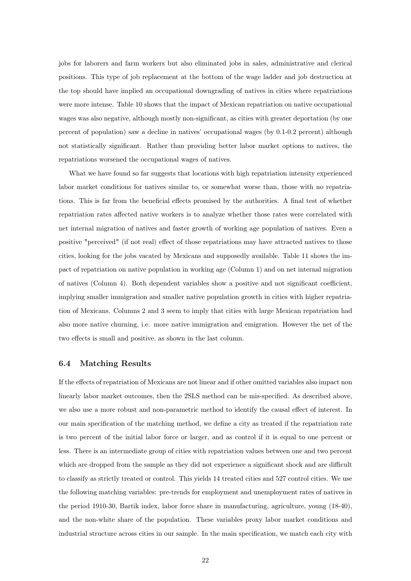jobs for laborers and farm workers but also eliminated jobs in sales, administrative and clerical positions. This type of job replacement at the bottom of the wage ladder and job destruction at the top should have implied an occupational downgrading of natives in cities where repatriations were more intense. Table 10 shows that the impact of Mexican repatriation on native occupational wages was also negative, although mostly non-significant, as cities with greater deportation (by one percent of population) saw a decline in natives' occupational wages (by 0.1-0.2 percent) although not statistically significant. Rather than providing better labor market options to natives, the repatriations worsened the occupational wages of natives.

What we have found so far suggests that locations with high repatriation intensity experienced labor market conditions for natives similar to, or somewhat worse than, those with no repatriations. This is far from the beneficial effects promised by the authorities. A final test of whether repatriation rates affected native workers is to analyze whether those rates were correlated with net internal migration of natives and faster growth of working age population of natives. Even a positive "perceived" (if not real) effect of those repatriations may have attracted natives to those cities, looking for the jobs vacated by Mexicans and supposedly available. Table 11 shows the impact of repatriation on native population in working age (Column 1) and on net internal migration of natives (Column 4). Both dependent variables show a positive and not significant coefficient, implying smaller immigration and smaller native population growth in cities with higher repatriation of Mexicans. Columns 2 and 3 seem to imply that cities with large Mexican repatriation had also more native churning, i.e. more native immigration and emigration. However the net of the two effects is small and positive, as shown in the last column.

#### 6.4 Matching Results

If the effects of repatriation of Mexicans are not linear and if other omitted variables also impact non linearly labor market outcomes, then the 2SLS method can be mis-specified. As described above, we also use a more robust and non-parametric method to identify the causal effect of interest. In our main specification of the matching method, we define a city as treated if the repatriation rate is two percent of the initial labor force or larger, and as control if it is equal to one percent or less. There is an intermediate group of cities with repatriation values between one and two percent which are dropped from the sample as they did not experience a significant shock and are difficult to classify as strictly treated or control. This yields 14 treated cities and 527 control cities. We use the following matching variables: pre-trends for employment and unemployment rates of natives in the period 1910-30, Bartik index, labor force share in manufacturing, agriculture, young (18-40), and the non-white share of the population. These variables proxy labor market conditions and industrial structure across cities in our sample. In the main specification, we match each city with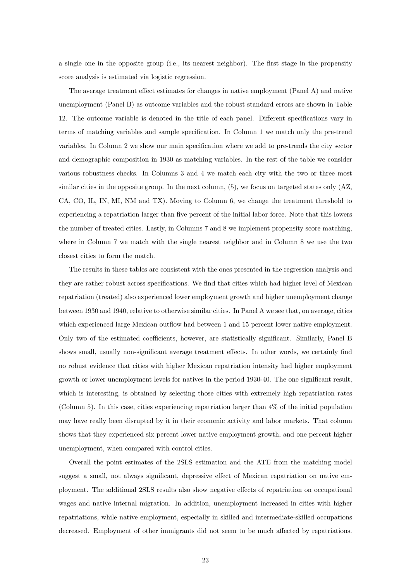a single one in the opposite group (i.e., its nearest neighbor). The first stage in the propensity score analysis is estimated via logistic regression.

The average treatment effect estimates for changes in native employment (Panel A) and native unemployment (Panel B) as outcome variables and the robust standard errors are shown in Table 12. The outcome variable is denoted in the title of each panel. Different specifications vary in terms of matching variables and sample specification. In Column 1 we match only the pre-trend variables. In Column 2 we show our main specification where we add to pre-trends the city sector and demographic composition in 1930 as matching variables. In the rest of the table we consider various robustness checks. In Columns 3 and 4 we match each city with the two or three most similar cities in the opposite group. In the next column, (5), we focus on targeted states only (AZ, CA, CO, IL, IN, MI, NM and TX). Moving to Column 6, we change the treatment threshold to experiencing a repatriation larger than five percent of the initial labor force. Note that this lowers the number of treated cities. Lastly, in Columns 7 and 8 we implement propensity score matching, where in Column 7 we match with the single nearest neighbor and in Column 8 we use the two closest cities to form the match.

The results in these tables are consistent with the ones presented in the regression analysis and they are rather robust across specifications. We find that cities which had higher level of Mexican repatriation (treated) also experienced lower employment growth and higher unemployment change between 1930 and 1940, relative to otherwise similar cities. In Panel A we see that, on average, cities which experienced large Mexican outflow had between 1 and 15 percent lower native employment. Only two of the estimated coefficients, however, are statistically significant. Similarly, Panel B shows small, usually non-significant average treatment effects. In other words, we certainly find no robust evidence that cities with higher Mexican repatriation intensity had higher employment growth or lower unemployment levels for natives in the period 1930-40. The one significant result, which is interesting, is obtained by selecting those cities with extremely high repatriation rates (Column 5). In this case, cities experiencing repatriation larger than 4% of the initial population may have really been disrupted by it in their economic activity and labor markets. That column shows that they experienced six percent lower native employment growth, and one percent higher unemployment, when compared with control cities.

Overall the point estimates of the 2SLS estimation and the ATE from the matching model suggest a small, not always significant, depressive effect of Mexican repatriation on native employment. The additional 2SLS results also show negative effects of repatriation on occupational wages and native internal migration. In addition, unemployment increased in cities with higher repatriations, while native employment, especially in skilled and intermediate-skilled occupations decreased. Employment of other immigrants did not seem to be much affected by repatriations.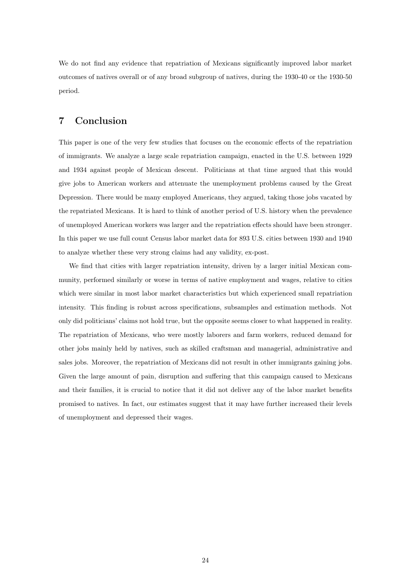We do not find any evidence that repatriation of Mexicans significantly improved labor market outcomes of natives overall or of any broad subgroup of natives, during the 1930-40 or the 1930-50 period.

# <span id="page-24-0"></span>7 Conclusion

This paper is one of the very few studies that focuses on the economic effects of the repatriation of immigrants. We analyze a large scale repatriation campaign, enacted in the U.S. between 1929 and 1934 against people of Mexican descent. Politicians at that time argued that this would give jobs to American workers and attenuate the unemployment problems caused by the Great Depression. There would be many employed Americans, they argued, taking those jobs vacated by the repatriated Mexicans. It is hard to think of another period of U.S. history when the prevalence of unemployed American workers was larger and the repatriation effects should have been stronger. In this paper we use full count Census labor market data for 893 U.S. cities between 1930 and 1940 to analyze whether these very strong claims had any validity, ex-post.

We find that cities with larger repatriation intensity, driven by a larger initial Mexican community, performed similarly or worse in terms of native employment and wages, relative to cities which were similar in most labor market characteristics but which experienced small repatriation intensity. This finding is robust across specifications, subsamples and estimation methods. Not only did politicians' claims not hold true, but the opposite seems closer to what happened in reality. The repatriation of Mexicans, who were mostly laborers and farm workers, reduced demand for other jobs mainly held by natives, such as skilled craftsman and managerial, administrative and sales jobs. Moreover, the repatriation of Mexicans did not result in other immigrants gaining jobs. Given the large amount of pain, disruption and suffering that this campaign caused to Mexicans and their families, it is crucial to notice that it did not deliver any of the labor market benefits promised to natives. In fact, our estimates suggest that it may have further increased their levels of unemployment and depressed their wages.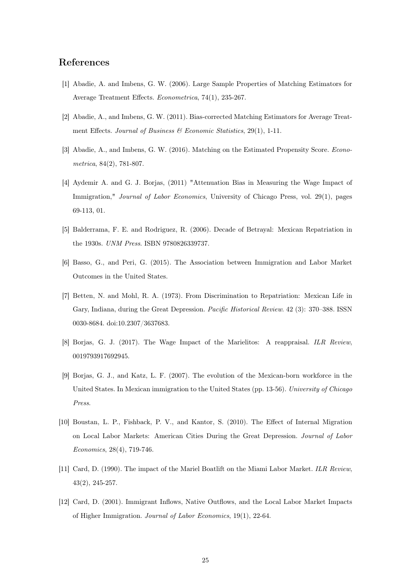# References

- [1] Abadie, A. and Imbens, G. W. (2006). Large Sample Properties of Matching Estimators for Average Treatment Effects. Econometrica, 74(1), 235-267.
- [2] Abadie, A., and Imbens, G. W. (2011). Bias-corrected Matching Estimators for Average Treatment Effects. Journal of Business  $\mathcal B$  Economic Statistics, 29(1), 1-11.
- [3] Abadie, A., and Imbens, G. W. (2016). Matching on the Estimated Propensity Score. Econometrica, 84(2), 781-807.
- [4] Aydemir A. and G. J. Borjas, (2011) "Attenuation Bias in Measuring the Wage Impact of Immigration," Journal of Labor Economics, University of Chicago Press, vol. 29(1), pages 69-113, 01.
- [5] Balderrama, F. E. and Rodriguez, R. (2006). Decade of Betrayal: Mexican Repatriation in the 1930s. UNM Press. ISBN 9780826339737.
- [6] Basso, G., and Peri, G. (2015). The Association between Immigration and Labor Market Outcomes in the United States.
- [7] Betten, N. and Mohl, R. A. (1973). From Discrimination to Repatriation: Mexican Life in Gary, Indiana, during the Great Depression. Pacific Historical Review. 42 (3): 370–388. ISSN 0030-8684. doi:10.2307/3637683.
- [8] Borjas, G. J. (2017). The Wage Impact of the Marielitos: A reappraisal. ILR Review, 0019793917692945.
- [9] Borjas, G. J., and Katz, L. F. (2007). The evolution of the Mexican-born workforce in the United States. In Mexican immigration to the United States (pp. 13-56). University of Chicago Press.
- [10] Boustan, L. P., Fishback, P. V., and Kantor, S. (2010). The Effect of Internal Migration on Local Labor Markets: American Cities During the Great Depression. Journal of Labor Economics, 28(4), 719-746.
- [11] Card, D. (1990). The impact of the Mariel Boatlift on the Miami Labor Market. ILR Review, 43(2), 245-257.
- [12] Card, D. (2001). Immigrant Inflows, Native Outflows, and the Local Labor Market Impacts of Higher Immigration. Journal of Labor Economics, 19(1), 22-64.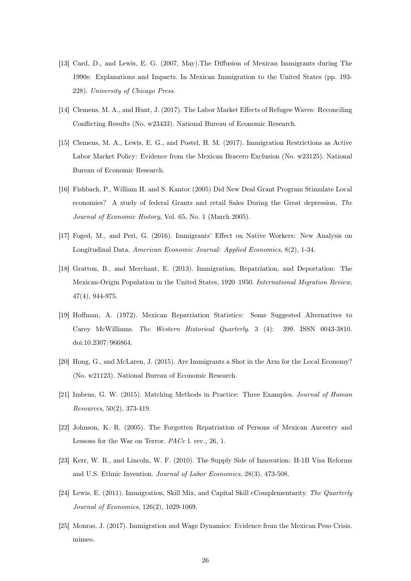- [13] Card, D., and Lewis, E. G. (2007, May).The Diffusion of Mexican Immigrants during The 1990s: Explanations and Impacts. In Mexican Immigration to the United States (pp. 193- 228). University of Chicago Press.
- [14] Clemens, M. A., and Hunt, J. (2017). The Labor Market Effects of Refugee Waves: Reconciling Conflicting Results (No. w23433). National Bureau of Economic Research.
- [15] Clemens, M. A., Lewis, E. G., and Postel, H. M. (2017). Immigration Restrictions as Active Labor Market Policy: Evidence from the Mexican Bracero Exclusion (No. w23125). National Bureau of Economic Research.
- [16] Fishback, P., William H. and S. Kantor (2005) Did New Deal Grant Program Stimulate Local economies? A study of federal Grants and retail Sales During the Great depression, The Journal of Economic History, Vol. 65, No. 1 (March 2005).
- [17] Foged, M., and Peri, G. (2016). Immigrants' Effect on Native Workers: New Analysis on Longitudinal Data. American Economic Journal: Applied Economics, 8(2), 1-34.
- [18] Gratton, B., and Merchant, E. (2013). Immigration, Repatriation, and Deportation: The Mexican-Origin Population in the United States, 1920–1950. International Migration Review, 47(4), 944-975.
- [19] Hoffman, A. (1972). Mexican Repatriation Statistics: Some Suggested Alternatives to Carey McWilliams. The Western Historical Quarterly. 3 (4): 399. ISSN 0043-3810. doi:10.2307/966864.
- [20] Hong, G., and McLaren, J. (2015). Are Immigrants a Shot in the Arm for the Local Economy? (No. w21123). National Bureau of Economic Research.
- [21] Imbens, G. W. (2015). Matching Methods in Practice: Three Examples. Journal of Human Resources, 50(2), 373-419.
- [22] Johnson, K. R. (2005). The Forgotten Repatriation of Persons of Mexican Ancestry and Lessons for the War on Terror. PACe l. rev., 26, 1.
- [23] Kerr, W. R., and Lincoln, W. F. (2010). The Supply Side of Innovation: H-1B Visa Reforms and U.S. Ethnic Invention. Journal of Labor Economics, 28(3), 473-508.
- [24] Lewis, E. (2011). Immigration, Skill Mix, and Capital Skill cComplementarity. The Quarterly Journal of Economics, 126(2), 1029-1069.
- [25] Monras, J. (2017). Immigration and Wage Dynamics: Evidence from the Mexican Peso Crisis. mimeo.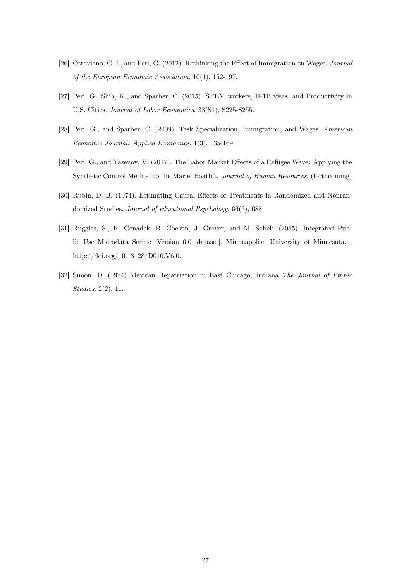- [26] Ottaviano, G. I., and Peri, G. (2012). Rethinking the Effect of Immigration on Wages. Journal of the European Economic Association, 10(1), 152-197.
- [27] Peri, G., Shih, K., and Sparber, C. (2015). STEM workers, H-1B visas, and Productivity in U.S. Cities. Journal of Labor Economics, 33(S1), S225-S255.
- [28] Peri, G., and Sparber, C. (2009). Task Specialization, Immigration, and Wages. American Economic Journal: Applied Economics, 1(3), 135-169.
- [29] Peri, G., and Yasenov, V. (2017). The Labor Market Effects of a Refugee Wave: Applying the Synthetic Control Method to the Mariel Boatlift, Journal of Human Resources, (forthcoming)
- [30] Rubin, D. B. (1974). Estimating Causal Effects of Treatments in Randomized and Nonrandomized Studies. Journal of educational Psychology, 66(5), 688.
- [31] Ruggles, S., K. Genadek, R. Goeken, J. Grover, and M. Sobek. (2015). Integrated Public Use Microdata Series: Version 6.0 [dataset]. Minneapolis: University of Minnesota, . http://doi.org/10.18128/D010.V6.0.
- [32] Simon, D. (1974) Mexican Repatriation in East Chicago, Indiana The Journal of Ethnic Studies. 2(2), 11.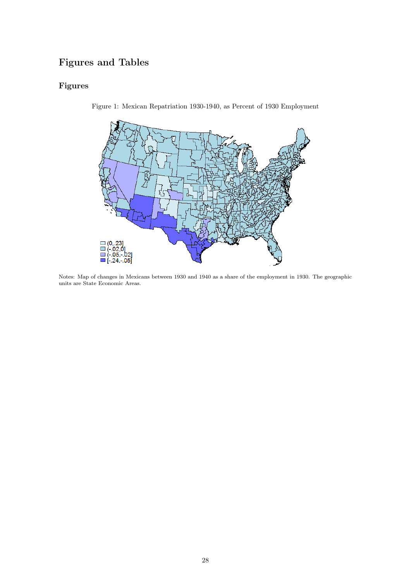# Figures and Tables

# Figures



Figure 1: Mexican Repatriation 1930-1940, as Percent of 1930 Employment

Notes: Map of changes in Mexicans between 1930 and 1940 as a share of the employment in 1930. The geographic units are State Economic Areas.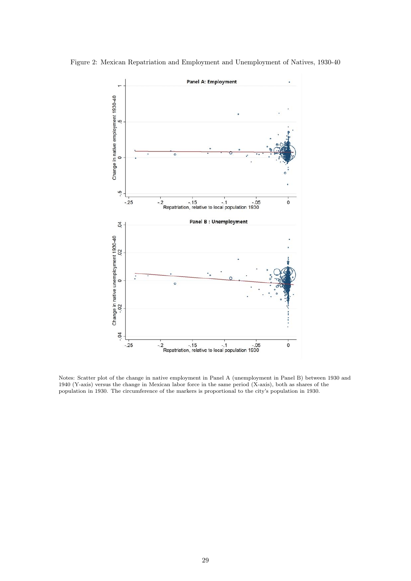

Figure 2: Mexican Repatriation and Employment and Unemployment of Natives, 1930-40

Notes: Scatter plot of the change in native employment in Panel A (unemployment in Panel B) between 1930 and 1940 (Y-axis) versus the change in Mexican labor force in the same period (X-axis), both as shares of the population in 1930. The circumference of the markers is proportional to the city's population in 1930.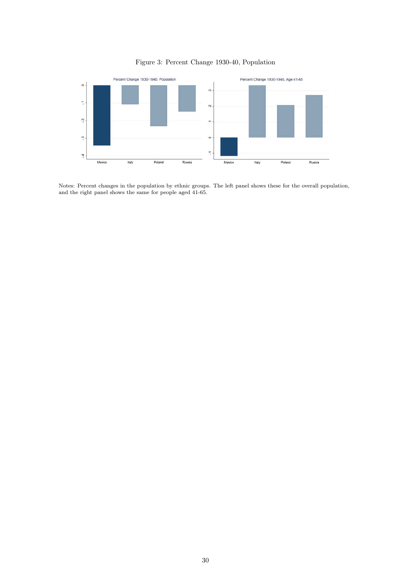



Notes: Percent changes in the population by ethnic groups. The left panel shows these for the overall population, and the right panel shows the same for people aged 41-65.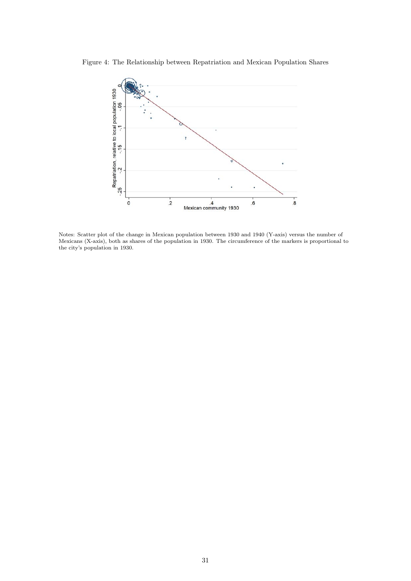Figure 4: The Relationship between Repatriation and Mexican Population Shares



Notes: Scatter plot of the change in Mexican population between 1930 and 1940 (Y-axis) versus the number of Mexicans (X-axis), both as shares of the population in 1930. The circumference of the markers is proportional to the city's population in 1930.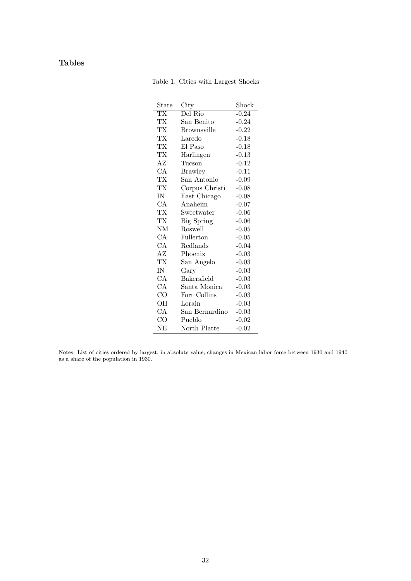# Tables

Table 1: Cities with Largest Shocks

| $_{\rm State}$         | City               | Shock   |
|------------------------|--------------------|---------|
| $\overline{\text{TX}}$ | Del Rio            | $-0.24$ |
| TХ                     | San Benito         | $-0.24$ |
| ТX                     | <b>Brownsville</b> | $-0.22$ |
| TХ                     | Laredo             | $-0.18$ |
| TХ                     | El Paso            | $-0.18$ |
| ТX                     | Harlingen          | $-0.13$ |
| AΖ                     | Tucson             | $-0.12$ |
| СA                     | <b>Brawley</b>     | $-0.11$ |
| TХ                     | San Antonio        | $-0.09$ |
| ТX                     | Corpus Christi     | $-0.08$ |
| IN                     | East Chicago       | $-0.08$ |
| CA                     | Anaheim            | $-0.07$ |
| TX                     | Sweetwater         | $-0.06$ |
| ТX                     | <b>Big Spring</b>  | $-0.06$ |
| <b>NM</b>              | Roswell            | $-0.05$ |
| СA                     | Fullerton          | $-0.05$ |
| CA                     | Redlands           | $-0.04$ |
| AZ                     | Phoenix            | $-0.03$ |
| ТX                     | San Angelo         | $-0.03$ |
| IN                     | Gary               | $-0.03$ |
| СA                     | Bakersfield        | $-0.03$ |
| CA                     | Santa Monica       | $-0.03$ |
| $\rm CO$               | Fort Collins       | $-0.03$ |
| OН                     | Lorain             | $-0.03$ |
| СA                     | San Bernardino     | $-0.03$ |
| $\rm CO$               | Pueblo             | $-0.02$ |
| NΕ                     | North Platte       | $-0.02$ |

Notes: List of cities ordered by largest, in absolute value, changes in Mexican labor force between 1930 and 1940 as a share of the population in 1930.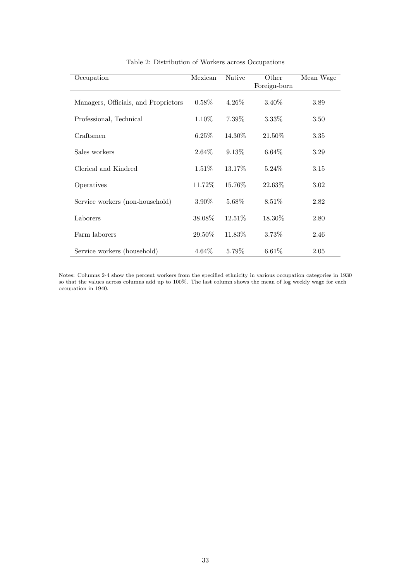| Occupation                           | Mexican  | <b>Native</b> | Other<br>Foreign-born | Mean Wage |
|--------------------------------------|----------|---------------|-----------------------|-----------|
| Managers, Officials, and Proprietors | $0.58\%$ | $4.26\%$      | 3.40\%                | 3.89      |
| Professional, Technical              | $1.10\%$ | $7.39\%$      | $3.33\%$              | 3.50      |
| Craftsmen                            | $6.25\%$ | 14.30%        | 21.50%                | 3.35      |
| Sales workers                        | $2.64\%$ | $9.13\%$      | $6.64\%$              | 3.29      |
| Clerical and Kindred                 | $1.51\%$ | 13.17\%       | $5.24\%$              | 3.15      |
| Operatives                           | 11.72%   | 15.76%        | 22.63%                | 3.02      |
| Service workers (non-household)      | 3.90%    | 5.68\%        | 8.51\%                | 2.82      |
| Laborers                             | 38.08\%  | $12.51\%$     | 18.30\%               | 2.80      |
| Farm laborers                        | 29.50\%  | 11.83%        | 3.73%                 | 2.46      |
| Service workers (household)          | $4.64\%$ | 5.79%         | $6.61\%$              | 2.05      |

## Table 2: Distribution of Workers across Occupations

Notes: Columns 2-4 show the percent workers from the specified ethnicity in various occupation categories in 1930 so that the values across columns add up to 100%. The last column shows the mean of log weekly wage for each occupation in 1940.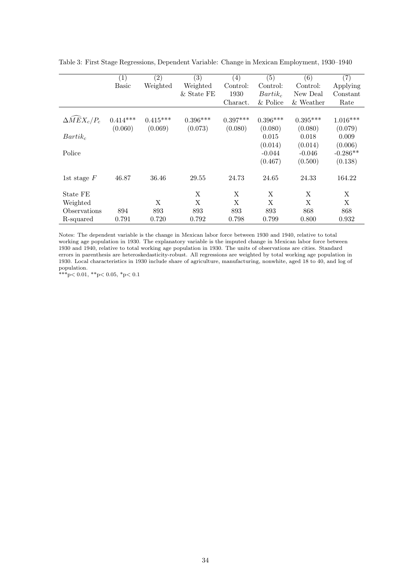|                                          | (1)          | $\left( 2\right)$ | (3)          | $\left( 4\right)$ | (5)        | (6)          | (7)        |
|------------------------------------------|--------------|-------------------|--------------|-------------------|------------|--------------|------------|
|                                          | <b>Basic</b> | Weighted          | Weighted     | Control:          | Control:   | Control:     | Applying   |
|                                          |              |                   | $&$ State FE | 1930              | $Bartik_c$ | New Deal     | Constant   |
|                                          |              |                   |              | Charact.          | & Police   | $\&$ Weather | Rate       |
|                                          |              |                   |              |                   |            |              |            |
| $\Delta \widehat{M} \widehat{E} X_c/P_c$ | $0.414***$   | $0.415***$        | $0.396***$   | $0.397***$        | $0.396***$ | $0.395***$   | $1.016***$ |
|                                          | (0.060)      | (0.069)           | (0.073)      | (0.080)           | (0.080)    | (0.080)      | (0.079)    |
| $Bartik_c$                               |              |                   |              |                   | 0.015      | 0.018        | 0.009      |
|                                          |              |                   |              |                   | (0.014)    | (0.014)      | (0.006)    |
| Police                                   |              |                   |              |                   | $-0.044$   | $-0.046$     | $-0.286**$ |
|                                          |              |                   |              |                   | (0.467)    | (0.500)      | (0.138)    |
| 1st stage $F$                            | 46.87        | 36.46             | 29.55        | 24.73             | 24.65      | 24.33        | 164.22     |
| State FE                                 |              |                   | X            | X                 | X          | X            | X          |
| Weighted                                 |              | X                 | X            | X                 | X          | X            | X          |
| Observations                             | 894          | 893               | 893          | 893               | 893        | 868          | 868        |
| R-squared                                | 0.791        | 0.720             | 0.792        | 0.798             | 0.799      | 0.800        | 0.932      |

Table 3: First Stage Regressions, Dependent Variable: Change in Mexican Employment, 1930–1940

Notes: The dependent variable is the change in Mexican labor force between 1930 and 1940, relative to total working age population in 1930. The explanatory variable is the imputed change in Mexican labor force between 1930 and 1940, relative to total working age population in 1930. The units of observations are cities. Standard errors in parenthesis are heteroskedasticity-robust. All regressions are weighted by total working age population in 1930. Local characteristics in 1930 include share of agriculture, manufacturing, nonwhite, aged 18 to 40, and log of population.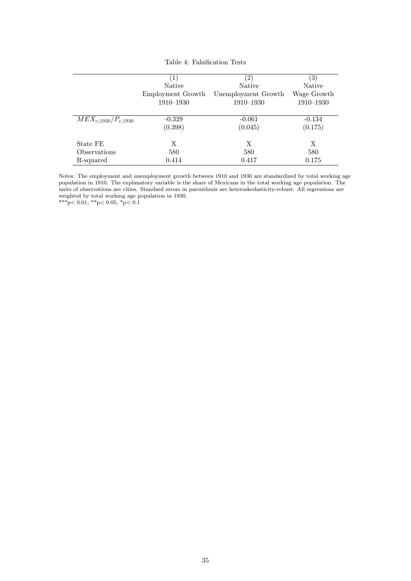|                           | $\left(1\right)$  | $\left( 2\right)$   | $\left( 3\right)$ |
|---------------------------|-------------------|---------------------|-------------------|
|                           | Native            | <b>Native</b>       | <b>Native</b>     |
|                           | Employment Growth | Unemployment Growth | Wage Growth       |
|                           | $1910 - 1930$     | 1910-1930           | 1910-1930         |
|                           |                   |                     |                   |
| $MEX_{c,1930}/P_{c,1930}$ | $-0.329$          | $-0.061$            | $-0.134$          |
|                           | (0.398)           | (0.045)             | (0.175)           |
| State FE                  | X                 | X                   | X                 |
| Observations              | 580               | 580                 | 580               |
| R-squared                 | 0.414             | 0.417               | 0.175             |

Table 4: Falsification Tests

Notes: The employment and unemployment growth between 1910 and 1930 are standardized by total working age population in 1910. The explanatory variable is the share of Mexicans in the total working age population. The units of observations are cities. Standard errors in parenthesis are heteroskedasticity-robust. All regressions are weighted by total working age population in 1930.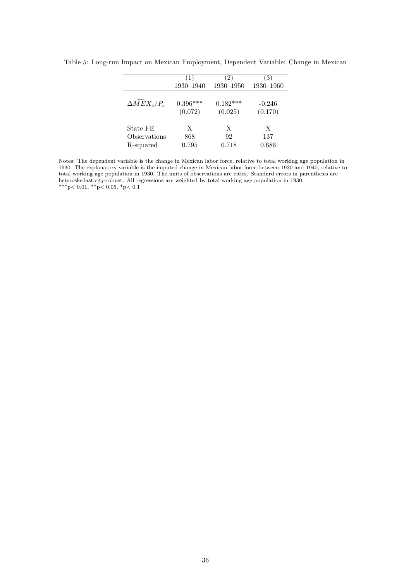|                                            | 1          | $\left( 2\right)$ | 3         |
|--------------------------------------------|------------|-------------------|-----------|
|                                            | 1930-1940  | 1930-1950         | 1930-1960 |
| $\Delta \widehat{M} \widetilde{E} X_c/P_c$ | $0.396***$ | $0.182***$        | $-0.246$  |
|                                            | (0.072)    | (0.025)           | (0.170)   |
| State FE                                   | X          | X                 | X         |
| Observations                               | 868        | 92                | 137       |
| R-squared                                  | 0.795      | 0.718             | 0.686     |

Table 5: Long-run Impact on Mexican Employment, Dependent Variable: Change in Mexican

Notes: The dependent variable is the change in Mexican labor force, relative to total working age population in 1930. The explanatory variable is the imputed change in Mexican labor force between 1930 and 1940, relative to total working age population in 1930. The units of observations are cities. Standard errors in parenthesis are heteroskedasticity-robust. All regressions are weighted by total working age population in 1930. \*\*\*p $< 0.01,$  \*\*p $< 0.05,$  \*p $< 0.1$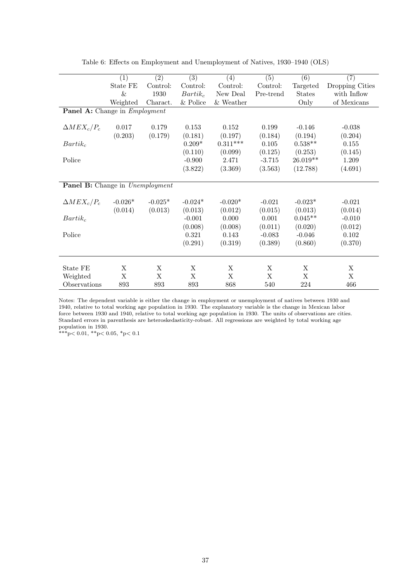|                                             | $\overline{(1)}$ | $\overline{(2)}$ | $\overline{(3)}$ | (4)          | $\overline{(5)}$ | $\overline{(6)}$ | $\overline{(7)}$ |
|---------------------------------------------|------------------|------------------|------------------|--------------|------------------|------------------|------------------|
|                                             | State FE         | Control:         | Control:         | Control:     | Control:         | Targeted         | Dropping Cities  |
|                                             | &                | 1930             | $Bartik_c$       | New Deal     | Pre-trend        | <b>States</b>    | with Inflow      |
|                                             | Weighted         | Charact.         | $\&$ Police      | $\&$ Weather |                  | Only             | of Mexicans      |
| <b>Panel A:</b> Change in <i>Employment</i> |                  |                  |                  |              |                  |                  |                  |
|                                             |                  |                  |                  |              |                  |                  |                  |
| $\Delta MEX_c/P_c$                          | 0.017            | 0.179            | 0.153            | 0.152        | 0.199            | $-0.146$         | $-0.038$         |
|                                             | (0.203)          | (0.179)          | (0.181)          | (0.197)      | (0.184)          | (0.194)          | (0.204)          |
| $Bartik_c$                                  |                  |                  | $0.209*$         | $0.311***$   | 0.105            | $0.538**$        | 0.155            |
|                                             |                  |                  | (0.110)          | (0.099)      | (0.125)          | (0.253)          | (0.145)          |
| Police                                      |                  |                  | $-0.900$         | 2.471        | $-3.715$         | $26.019**$       | 1.209            |
|                                             |                  |                  | (3.822)          | (3.369)      | (3.563)          | (12.788)         | (4.691)          |
|                                             |                  |                  |                  |              |                  |                  |                  |
| Panel B: Change in Unemployment             |                  |                  |                  |              |                  |                  |                  |
|                                             |                  |                  |                  |              |                  |                  |                  |
| $\Delta MEX_c/P_c$                          | $-0.026*$        | $-0.025*$        | $-0.024*$        | $-0.020*$    | $-0.021$         | $-0.023*$        | $-0.021$         |
|                                             | (0.014)          | (0.013)          | (0.013)          | (0.012)      | (0.015)          | (0.013)          | (0.014)          |
| $Bartik_c$                                  |                  |                  | $-0.001$         | 0.000        | 0.001            | $0.045**$        | $-0.010$         |
|                                             |                  |                  | (0.008)          | (0.008)      | (0.011)          | (0.020)          | (0.012)          |
| Police                                      |                  |                  | 0.321            | 0.143        | $-0.083$         | $-0.046$         | 0.102            |
|                                             |                  |                  | (0.291)          | (0.319)      | (0.389)          | (0.860)          | (0.370)          |
|                                             |                  |                  |                  |              |                  |                  |                  |
|                                             |                  |                  |                  |              |                  |                  |                  |
| State FE                                    | X                | X                | X                | Х            | X                | X                | X                |
| Weighted                                    | X                | X                | X                | X            | X                | X                | X                |
| Observations                                | 893              | 893              | 893              | 868          | 540              | 224              | 466              |

Table 6: Effects on Employment and Unemployment of Natives, 1930–1940 (OLS)

Notes: The dependent variable is either the change in employment or unemployment of natives between 1930 and 1940, relative to total working age population in 1930. The explanatory variable is the change in Mexican labor force between 1930 and 1940, relative to total working age population in 1930. The units of observations are cities. Standard errors in parenthesis are heteroskedasticity-robust. All regressions are weighted by total working age population in 1930.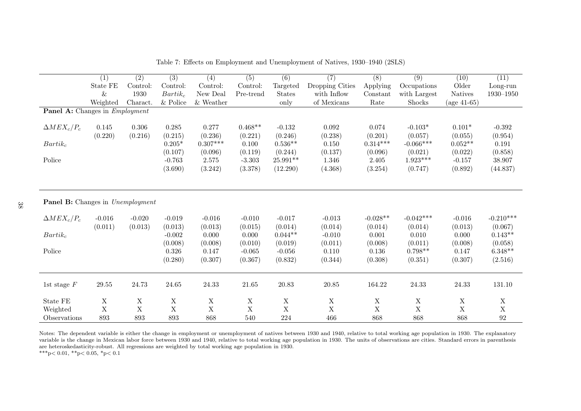|                                  | $\overline{(1)}$ | $\overline{(2)}$ | $\overline{(3)}$ | $\overline{(4)}$ | $\overline{(5)}$ | $\overline{(6)}$ | $\overline{(7)}$ | $\overline{(8)}$ | $\overline{(9)}$ | (10)           | (11)          |
|----------------------------------|------------------|------------------|------------------|------------------|------------------|------------------|------------------|------------------|------------------|----------------|---------------|
|                                  | State FE         | Control:         | Control:         | Control:         | Control:         | Targeted         | Dropping Cities  | Applying         | Occupations      | Older          | Long-run      |
|                                  | $\&$             | 1930             | $Bartik_c$       | New Deal         | Pre-trend        | <b>States</b>    | with Inflow      | Constant         | with Largest     | <b>Natives</b> | $1930 - 1950$ |
|                                  | Weighted         | Charact.         | $&$ Police       | & Weather        |                  | only             | of Mexicans      | Rate             | Shocks           | (age $41-65$ ) |               |
| Panel A: Changes in Employment   |                  |                  |                  |                  |                  |                  |                  |                  |                  |                |               |
| $\Delta MEX_c/P_c$               | 0.145            | 0.306            | 0.285            | 0.277            | $0.468**$        | $-0.132$         | 0.092            | 0.074            | $-0.103*$        | $0.101*$       | $-0.392$      |
|                                  | (0.220)          | (0.216)          | (0.215)          | (0.236)          | (0.221)          | (0.246)          | (0.238)          | (0.201)          | (0.057)          | (0.055)        | (0.954)       |
| $Bartik_c$                       |                  |                  | $0.205*$         | $0.307***$       | 0.100            | $0.536**$        | 0.150            | $0.314***$       | $-0.066***$      | $0.052**$      | 0.191         |
|                                  |                  |                  | (0.107)          | (0.096)          | (0.119)          | (0.244)          | (0.137)          | (0.096)          | (0.021)          | (0.022)        | (0.858)       |
| Police                           |                  |                  | $-0.763$         | 2.575            | $-3.303$         | 25.991**         | 1.346            | 2.405            | $1.923***$       | $-0.157$       | 38.907        |
|                                  |                  |                  | (3.690)          | (3.242)          | (3.378)          | (12.290)         | (4.368)          | (3.254)          | (0.747)          | (0.892)        | (44.837)      |
|                                  |                  |                  |                  |                  |                  |                  |                  |                  |                  |                |               |
| Panel B: Changes in Unemployment |                  |                  |                  |                  |                  |                  |                  |                  |                  |                |               |
| $\Delta MEX_c/P_c$               | $-0.016$         | $-0.020$         | $-0.019$         | $-0.016$         | $-0.010$         | $-0.017$         | $-0.013$         | $-0.028**$       | $-0.042***$      | $-0.016$       | $-0.210***$   |
|                                  | (0.011)          | (0.013)          | (0.013)          | (0.013)          | (0.015)          | (0.014)          | (0.014)          | (0.014)          | (0.014)          | (0.013)        | (0.067)       |
| $Bartik_c$                       |                  |                  | $-0.002$         | 0.000            | 0.000            | $0.044**$        | $-0.010$         | 0.001            | 0.010            | 0.000          | $0.143**$     |
|                                  |                  |                  | (0.008)          | (0.008)          | (0.010)          | (0.019)          | (0.011)          | (0.008)          | (0.011)          | (0.008)        | (0.058)       |
| Police                           |                  |                  | $0.326\,$        | 0.147            | $-0.065$         | $-0.056$         | 0.110            | 0.136            | $0.798**$        | 0.147          | $6.348**$     |
|                                  |                  |                  | (0.280)          | (0.307)          | (0.367)          | (0.832)          | (0.344)          | (0.308)          | (0.351)          | (0.307)        | (2.516)       |
|                                  |                  |                  |                  |                  |                  |                  |                  |                  |                  |                |               |
| 1st stage $F$                    | $29.55\,$        | 24.73            | 24.65            | $24.33\,$        | $21.65\,$        | 20.83            | 20.85            | 164.22           | 24.33            | 24.33          | 131.10        |
| State FE                         | $\mathbf X$      | X                | $\mathbf X$      | $\mathbf X$      | $\mathbf X$      | $\mathbf X$      | $\mathbf X$      | $\mathbf X$      | $\mathbf X$      | $\mathbf X$    | $\mathbf X$   |
| Weighted                         | $\mathbf X$      | $\mathbf X$      | $\mathbf X$      | $\mathbf X$      | $\mathbf X$      | $\mathbf X$      | $\mathbf X$      | $\mathbf X$      | $\mathbf X$      | $\mathbf X$    | $\mathbf X$   |
| Observations                     | 893              | 893              | 893              | 868              | 540              | 224              | 466              | 868              | 868              | 868            | 92            |

Table 7: Effects on Employment and Unemployment of Natives, 1930–1940 (2SLS)

Notes: The dependent variable is either the change in employment or unemployment of natives between <sup>1930</sup> and 1940, relative to total working age population in 1930. The explanatory variable is the change in Mexican labor force between 1930 and 1940, relative to total working age population in 1930. The units of observations are cities. Standard errors in parenthesisare heteroskedasticity-robust. All regressions are weighted by total working age population in 1930.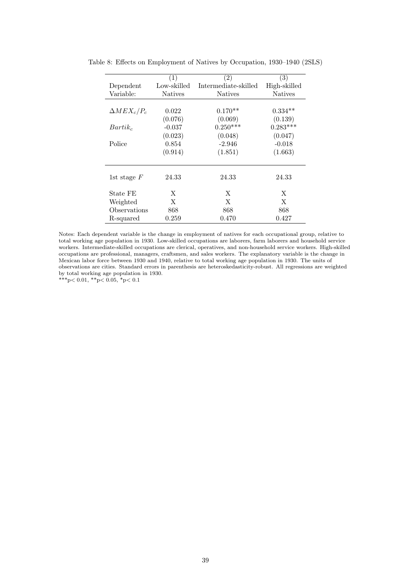|                    | (1)            | $\left( 2\right)$    | (3)            |
|--------------------|----------------|----------------------|----------------|
| Dependent          | Low-skilled    | Intermediate-skilled | High-skilled   |
| Variable:          | <b>Natives</b> | <b>Natives</b>       | <b>Natives</b> |
|                    |                |                      |                |
| $\Delta MEX_c/P_c$ | 0.022          | $0.170**$            | $0.334**$      |
|                    | (0.076)        | (0.069)              | (0.139)        |
| $Bartik_c$         | $-0.037$       | $0.250***$           | $0.283***$     |
|                    | (0.023)        | (0.048)              | (0.047)        |
| Police             | 0.854          | $-2.946$             | $-0.018$       |
|                    | (0.914)        | (1.851)              | (1.663)        |
|                    |                |                      |                |
| 1st stage $F$      | 24.33          | 24.33                | 24.33          |
| State FE           | X              | X                    | X              |
| Weighted           | X              | X                    | X              |
| Observations       | 868            | 868                  | 868            |
| R-squared          | 0.259          | 0.470                | 0.427          |

Table 8: Effects on Employment of Natives by Occupation, 1930–1940 (2SLS)

Notes: Each dependent variable is the change in employment of natives for each occupational group, relative to total working age population in 1930. Low-skilled occupations are laborers, farm laborers and household service workers. Intermediate-skilled occupations are clerical, operatives, and non-household service workers. High-skilled occupations are professional, managers, craftsmen, and sales workers. The explanatory variable is the change in Mexican labor force between 1930 and 1940, relative to total working age population in 1930. The units of observations are cities. Standard errors in parenthesis are heteroskedasticity-robust. All regressions are weighted by total working age population in 1930.

 $^{**}\!\!p\!<0.01,~^{**}\!\!p\!<0.05,~^{*}\!\!p\!<0.1$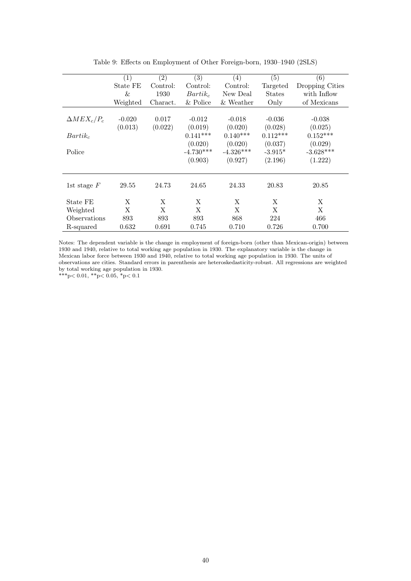|                    | (1)      | $\left( 2\right)$ | (3)         | (4)          | (5)           | (6)             |
|--------------------|----------|-------------------|-------------|--------------|---------------|-----------------|
|                    | State FE | Control:          | Control:    | Control:     | Targeted      | Dropping Cities |
|                    | &        | 1930              | $Bartik_c$  | New Deal     | <b>States</b> | with Inflow     |
|                    | Weighted | Charact.          | & Police    | & Weather    | Only          | of Mexicans     |
|                    |          |                   |             |              |               |                 |
| $\Delta MEX_c/P_c$ | $-0.020$ | 0.017             | $-0.012$    | $-0.018$     | $-0.036$      | $-0.038$        |
|                    | (0.013)  | (0.022)           | (0.019)     | (0.020)      | (0.028)       | (0.025)         |
| $Bartik_c$         |          |                   | $0.141***$  | $0.140***$   | $0.112***$    | $0.152***$      |
|                    |          |                   | (0.020)     | (0.020)      | (0.037)       | (0.029)         |
| Police             |          |                   | $-4.730***$ | $-4.326***$  | $-3.915*$     | $-3.628***$     |
|                    |          |                   | (0.903)     | (0.927)      | (2.196)       | (1.222)         |
|                    |          |                   |             |              |               |                 |
| 1st stage $F$      | 29.55    | 24.73             | 24.65       | 24.33        | 20.83         | 20.85           |
| State FE           | X        | X                 | X           | X            | X             | X               |
| Weighted           | X        | X                 | X           | $\mathbf{X}$ | X             | X               |
| Observations       | 893      | 893               | 893         | 868          | 224           | 466             |
| R-squared          | 0.632    | 0.691             | 0.745       | 0.710        | 0.726         | 0.700           |

Table 9: Effects on Employment of Other Foreign-born, 1930–1940 (2SLS)

Notes: The dependent variable is the change in employment of foreign-born (other than Mexican-origin) between 1930 and 1940, relative to total working age population in 1930. The explanatory variable is the change in Mexican labor force between 1930 and 1940, relative to total working age population in 1930. The units of observations are cities. Standard errors in parenthesis are heteroskedasticity-robust. All regressions are weighted by total working age population in 1930.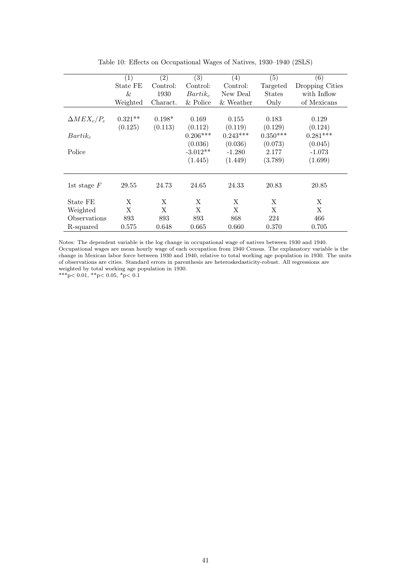|                    | (1)       | (2)      | (3)        | $\left(4\right)$ | (5)           | (6)             |
|--------------------|-----------|----------|------------|------------------|---------------|-----------------|
|                    | State FE  | Control: | Control:   | Control:         | Targeted      | Dropping Cities |
|                    | &         | 1930     | $Bartik_c$ | New Deal         | <b>States</b> | with Inflow     |
|                    | Weighted  | Charact. | & Police   | & Weather        | Only          | of Mexicans     |
|                    |           |          |            |                  |               |                 |
| $\Delta MEX_c/P_c$ | $0.321**$ | $0.198*$ | 0.169      | 0.155            | 0.183         | 0.129           |
|                    | (0.125)   | (0.113)  | (0.112)    | (0.119)          | (0.129)       | (0.124)         |
| $Bartik_c$         |           |          | $0.206***$ | $0.243***$       | $0.350***$    | $0.281***$      |
|                    |           |          | (0.036)    | (0.036)          | (0.073)       | (0.045)         |
| Police             |           |          | $-3.012**$ | $-1.280$         | 2.177         | $-1.073$        |
|                    |           |          | (1.445)    | (1.449)          | (3.789)       | (1.699)         |
|                    |           |          |            |                  |               |                 |
| 1st stage $F$      | 29.55     | 24.73    | 24.65      | 24.33            | 20.83         | 20.85           |
| State FE           | X         | X        | X          | X                | X             | X               |
| Weighted           | X         | X        | X          | X                | X             | X               |
| Observations       | 893       | 893      | 893        | 868              | 224           | 466             |
| R-squared          | 0.575     | 0.648    | 0.665      | 0.660            | 0.370         | 0.705           |

Table 10: Effects on Occupational Wages of Natives, 1930–1940 (2SLS)

Notes: The dependent variable is the log change in occupational wage of natives between 1930 and 1940. Occupational wages are mean hourly wage of each occupation from 1940 Census. The explanatory variable is the change in Mexican labor force between 1930 and 1940, relative to total working age population in 1930. The units of observations are cities. Standard errors in parenthesis are heteroskedasticity-robust. All regressions are weighted by total working age population in 1930.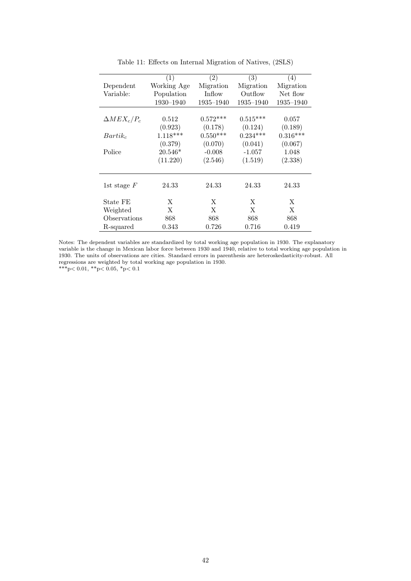|                    | (1)         | (2)        | (3)        | (4)        |
|--------------------|-------------|------------|------------|------------|
| Dependent          | Working Age | Migration  | Migration  | Migration  |
| Variable:          | Population  | Inflow     | Outflow    | Net flow   |
|                    | 1930-1940   | 1935-1940  | 1935-1940  | 1935-1940  |
|                    |             |            |            |            |
| $\Delta MEX_c/P_c$ | 0.512       | $0.572***$ | $0.515***$ | 0.057      |
|                    | (0.923)     | (0.178)    | (0.124)    | (0.189)    |
| $Bartik_c$         | $1.118***$  | $0.550***$ | $0.234***$ | $0.316***$ |
|                    | (0.379)     | (0.070)    | (0.041)    | (0.067)    |
| Police             | $20.546*$   | $-0.008$   | $-1.057$   | 1.048      |
|                    | (11.220)    | (2.546)    | (1.519)    | (2.338)    |
|                    |             |            |            |            |
|                    |             |            |            |            |
| 1st stage $F$      | 24.33       | 24.33      | 24.33      | 24.33      |
| State FE           | X           | X          | X          | X          |
| Weighted           | X           | X          | X          | X          |
| Observations       | 868         | 868        | 868        | 868        |
|                    |             |            |            |            |
| R-squared          | 0.343       | 0.726      | 0.716      | 0.419      |

Table 11: Effects on Internal Migration of Natives, (2SLS)

Notes: The dependent variables are standardized by total working age population in 1930. The explanatory variable is the change in Mexican labor force between 1930 and 1940, relative to total working age population in 1930. The units of observations are cities. Standard errors in parenthesis are heteroskedasticity-robust. All regressions are weighted by total working age population in 1930.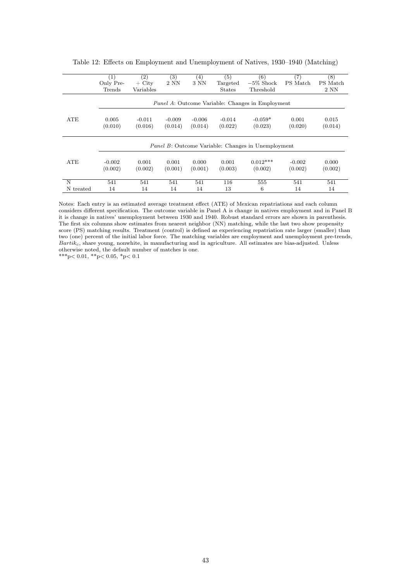|            | $\left( 1\right)$ | $\left( 2\right)$ | (3)      | $\left( 4\right)$ | (5)           | (6)                                                        | (7)      | $^{(8)}$ |
|------------|-------------------|-------------------|----------|-------------------|---------------|------------------------------------------------------------|----------|----------|
|            |                   |                   |          |                   |               |                                                            |          |          |
|            | Only Pre-         | $+$ City          | 2 NN     | 3 NN              | Targeted      | $-5\%$ Shock                                               | PS Match | PS Match |
|            | Trends            | Variables         |          |                   | <b>States</b> | Threshold                                                  |          | 2 NN     |
|            |                   |                   |          |                   |               |                                                            |          |          |
|            |                   |                   |          |                   |               | <i>Panel A:</i> Outcome Variable: Changes in Employment    |          |          |
|            |                   |                   |          |                   |               |                                                            |          |          |
| ATE        | 0.005             | $-0.011$          | $-0.009$ | $-0.006$          | $-0.014$      | $-0.059*$                                                  | 0.001    | 0.015    |
|            | (0.010)           | (0.016)           | (0.014)  | (0.014)           | (0.022)       | (0.023)                                                    | (0.020)  | (0.014)  |
|            |                   |                   |          |                   |               |                                                            |          |          |
|            |                   |                   |          |                   |               |                                                            |          |          |
|            |                   |                   |          |                   |               | <i>Panel B</i> : Outcome Variable: Changes in Unemployment |          |          |
|            |                   |                   |          |                   |               |                                                            |          |          |
| <b>ATE</b> | $-0.002$          | 0.001             | 0.001    | 0.000             | 0.001         | $0.012***$                                                 | $-0.002$ | 0.000    |
|            | (0.002)           | (0.002)           | (0.001)  | (0.001)           | (0.003)       | (0.002)                                                    | (0.002)  | (0.002)  |
|            |                   |                   |          |                   |               |                                                            |          |          |
| N          | 541               | 541               | 541      | 541               | 116           | 555                                                        | 541      | 541      |
| N treated  | 14                | 14                | 14       | 14                | 13            | 6                                                          | 14       | 14       |

Table 12: Effects on Employment and Unemployment of Natives, 1930–1940 (Matching)

Notes: Each entry is an estimated average treatment effect (ATE) of Mexican repatriations and each column considers different specification. The outcome variable in Panel A is change in natives employment and in Panel B it is change in natives' unemployment between 1930 and 1940. Robust standard errors are shown in parenthesis. The first six columns show estimates from nearest neighbor (NN) matching, while the last two show propensity score (PS) matching results. Treatment (control) is defined as experiencing repatriation rate larger (smaller) than two (one) percent of the initial labor force. The matching variables are employment and unemployment pre-trends,  $Bartik_c$ , share young, nonwhite, in manufacturing and in agriculture. All estimates are bias-adjusted. Unless otherwise noted, the default number of matches is one.